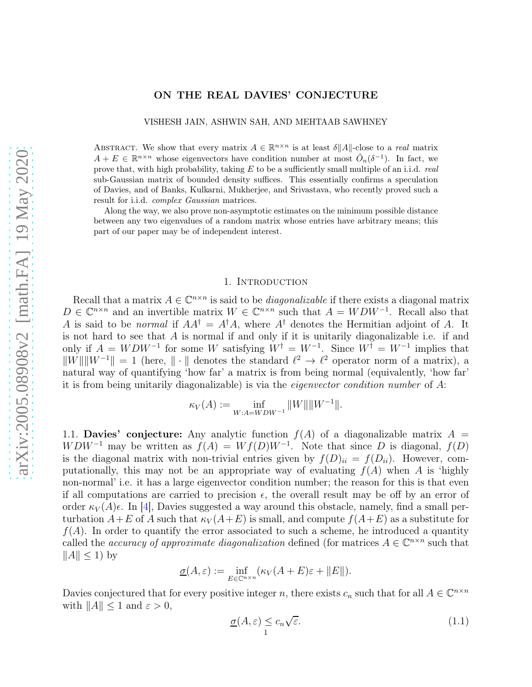# ON THE REAL DAVIES' CONJECTURE

VISHESH JAIN, ASHWIN SAH, AND MEHTAAB SAWHNEY

ABSTRACT. We show that every matrix  $A \in \mathbb{R}^{n \times n}$  is at least  $\delta ||A||$ -close to a *real* matrix  $A + E \in \mathbb{R}^{n \times n}$  whose eigenvectors have condition number at most  $\tilde{O}_n(\delta^{-1})$ . In fact, we prove that, with high probability, taking  $E$  to be a sufficiently small multiple of an i.i.d. real sub-Gaussian matrix of bounded density suffices. This essentially confirms a speculation of Davies, and of Banks, Kulkarni, Mukherjee, and Srivastava, who recently proved such a result for i.i.d. complex Gaussian matrices.

Along the way, we also prove non-asymptotic estimates on the minimum possible distance between any two eigenvalues of a random matrix whose entries have arbitrary means; this part of our paper may be of independent interest.

# 1. INTRODUCTION

Recall that a matrix  $A \in \mathbb{C}^{n \times n}$  is said to be *diagonalizable* if there exists a diagonal matrix  $D \in \mathbb{C}^{n \times n}$  and an invertible matrix  $W \in \mathbb{C}^{n \times n}$  such that  $A = WDW^{-1}$ . Recall also that A is said to be *normal* if  $AA^{\dagger} = A^{\dagger}A$ , where  $A^{\dagger}$  denotes the Hermitian adjoint of A. It is not hard to see that  $A$  is normal if and only if it is unitarily diagonalizable i.e. if and only if  $A = WDW^{-1}$  for some W satisfying  $W^{\dagger} = W^{-1}$ . Since  $W^{\dagger} = W^{-1}$  implies that  $\|W\| \|W^{-1}\| = 1$  (here,  $\|\cdot\|$  denotes the standard  $\ell^2 \to \ell^2$  operator norm of a matrix), a natural way of quantifying 'how far' a matrix is from being normal (equivalently, 'how far' it is from being unitarily diagonalizable) is via the *eigenvector condition number* of  $A$ :

$$
\kappa_V(A) := \inf_{W:A=WDW^{-1}} \|W\| \|W^{-1}\|.
$$

1.1. **Davies' conjecture:** Any analytic function  $f(A)$  of a diagonalizable matrix  $A =$  $WDW^{-1}$  may be written as  $f(A) = Wf(D)W^{-1}$ . Note that since D is diagonal,  $f(D)$ is the diagonal matrix with non-trivial entries given by  $f(D)_{ii} = f(D_{ii})$ . However, computationally, this may not be an appropriate way of evaluating  $f(A)$  when A is 'highly non-normal' i.e. it has a large eigenvector condition number; the reason for this is that even if all computations are carried to precision  $\epsilon$ , the overall result may be off by an error of order  $\kappa_V(A)\epsilon$ . In [\[4\]](#page-18-0), Davies suggested a way around this obstacle, namely, find a small perturbation  $A+E$  of A such that  $\kappa_V(A+E)$  is small, and compute  $f(A+E)$  as a substitute for  $f(A)$ . In order to quantify the error associated to such a scheme, he introduced a quantity called the *accuracy of approximate diagonalization* defined (for matrices  $A \in \mathbb{C}^{n \times n}$  such that  $||A|| \leq 1$ ) by

$$
\underline{\sigma}(A,\varepsilon) := \inf_{E \in \mathbb{C}^{n \times n}} (\kappa_V(A+E)\varepsilon + ||E||).
$$

Davies conjectured that for every positive integer n, there exists  $c_n$  such that for all  $A \in \mathbb{C}^{n \times n}$ with  $||A|| \leq 1$  and  $\varepsilon > 0$ ,

<span id="page-0-0"></span>
$$
\underline{\sigma}(A,\varepsilon) \leq c_n \sqrt{\varepsilon}.\tag{1.1}
$$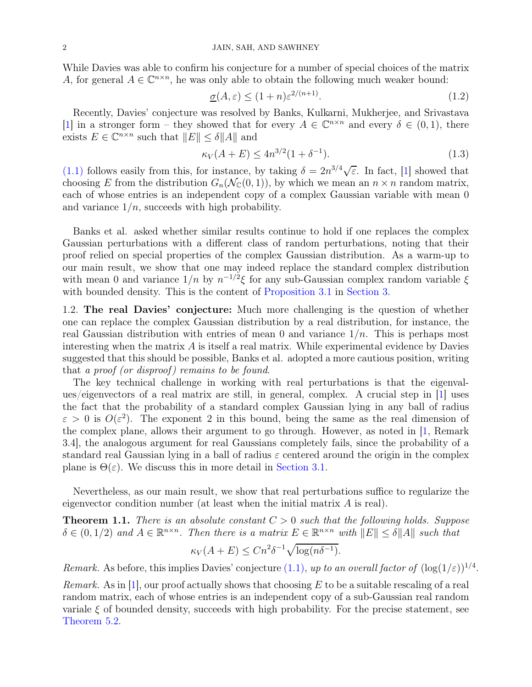While Davies was able to confirm his conjecture for a number of special choices of the matrix A, for general  $A \in \mathbb{C}^{n \times n}$ , he was only able to obtain the following much weaker bound:

<span id="page-1-0"></span>
$$
\underline{\sigma}(A,\varepsilon) \le (1+n)\varepsilon^{2/(n+1)}.\tag{1.2}
$$

Recently, Davies' conjecture was resolved by Banks, Kulkarni, Mukherjee, and Srivastava [\[1\]](#page-18-1) in a stronger form – they showed that for every  $A \in \mathbb{C}^{n \times n}$  and every  $\delta \in (0,1)$ , there exists  $E \in \mathbb{C}^{n \times n}$  such that  $||E|| \leq \delta ||A||$  and

$$
\kappa_V(A+E) \le 4n^{3/2}(1+\delta^{-1}).\tag{1.3}
$$

[\(1.1\)](#page-0-0) follows easily from this, for instance, by taking  $\delta = 2n^{3/4}\sqrt{\varepsilon}$ . In fact, [\[1\]](#page-18-1) showed that choosing E from the distribution  $G_n(\mathcal{N}_\mathbb{C}(0, 1))$ , by which we mean an  $n \times n$  random matrix, each of whose entries is an independent copy of a complex Gaussian variable with mean 0 and variance  $1/n$ , succeeds with high probability.

Banks et al. asked whether similar results continue to hold if one replaces the complex Gaussian perturbations with a different class of random perturbations, noting that their proof relied on special properties of the complex Gaussian distribution. As a warm-up to our main result, we show that one may indeed replace the standard complex distribution with mean 0 and variance  $1/n$  by  $n^{-1/2}\xi$  for any sub-Gaussian complex random variable  $\xi$ with bounded density. This is the content of [Proposition 3.1](#page-7-0) in [Section 3.](#page-7-1)

1.2. The real Davies' conjecture: Much more challenging is the question of whether one can replace the complex Gaussian distribution by a real distribution, for instance, the real Gaussian distribution with entries of mean 0 and variance  $1/n$ . This is perhaps most interesting when the matrix  $\vec{A}$  is itself a real matrix. While experimental evidence by Davies suggested that this should be possible, Banks et al. adopted a more cautious position, writing that a proof (or disproof) remains to be found.

The key technical challenge in working with real perturbations is that the eigenvalues/eigenvectors of a real matrix are still, in general, complex. A crucial step in [\[1\]](#page-18-1) uses the fact that the probability of a standard complex Gaussian lying in any ball of radius  $\varepsilon > 0$  is  $O(\varepsilon^2)$ . The exponent 2 in this bound, being the same as the real dimension of the complex plane, allows their argument to go through. However, as noted in [\[1,](#page-18-1) Remark 3.4], the analogous argument for real Gaussians completely fails, since the probability of a standard real Gaussian lying in a ball of radius  $\varepsilon$  centered around the origin in the complex plane is  $\Theta(\varepsilon)$ . We discuss this in more detail in [Section 3.1.](#page-9-0)

<span id="page-1-1"></span>Nevertheless, as our main result, we show that real perturbations suffice to regularize the eigenvector condition number (at least when the initial matrix A is real).

**Theorem 1.1.** There is an absolute constant  $C > 0$  such that the following holds. Suppose  $\delta \in (0,1/2)$  and  $A \in \mathbb{R}^{n \times n}$ . Then there is a matrix  $E \in \mathbb{R}^{n \times n}$  with  $||E|| \leq \delta ||A||$  such that

$$
\kappa_V(A+E) \le Cn^2\delta^{-1}\sqrt{\log(n\delta^{-1})}.
$$

Remark. As before, this implies Davies' conjecture [\(1.1\),](#page-0-0) up to an overall factor of  $(\log(1/\varepsilon))^{1/4}$ .

*Remark.* As in [\[1\]](#page-18-1), our proof actually shows that choosing E to be a suitable rescaling of a real random matrix, each of whose entries is an independent copy of a sub-Gaussian real random variale  $\xi$  of bounded density, succeeds with high probability. For the precise statement, see [Theorem 5.2.](#page-10-0)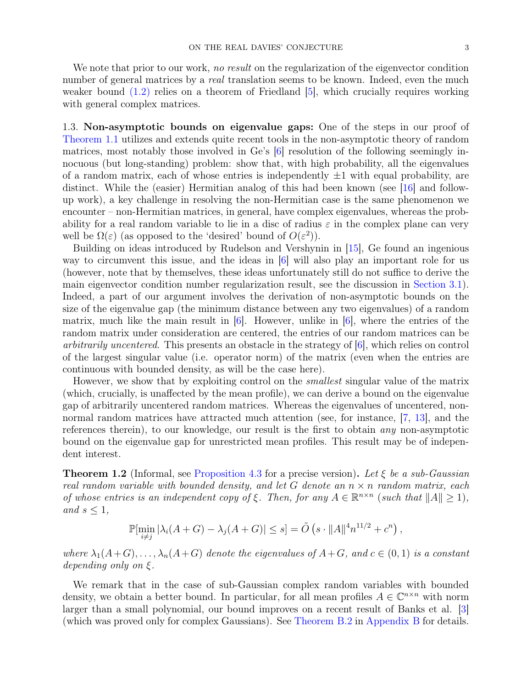We note that prior to our work, no result on the regularization of the eigenvector condition number of general matrices by a *real* translation seems to be known. Indeed, even the much weaker bound [\(1.2\)](#page-1-0) relies on a theorem of Friedland [\[5\]](#page-18-2), which crucially requires working with general complex matrices.

1.3. Non-asymptotic bounds on eigenvalue gaps: One of the steps in our proof of [Theorem 1.1](#page-1-1) utilizes and extends quite recent tools in the non-asymptotic theory of random matrices, most notably those involved in Ge's [\[6\]](#page-18-3) resolution of the following seemingly innocuous (but long-standing) problem: show that, with high probability, all the eigenvalues of a random matrix, each of whose entries is independently  $\pm 1$  with equal probability, are distinct. While the (easier) Hermitian analog of this had been known (see [\[16\]](#page-19-0) and followup work), a key challenge in resolving the non-Hermitian case is the same phenomenon we encounter – non-Hermitian matrices, in general, have complex eigenvalues, whereas the probability for a real random variable to lie in a disc of radius  $\varepsilon$  in the complex plane can very well be  $\Omega(\varepsilon)$  (as opposed to the 'desired' bound of  $O(\varepsilon^2)$ ).

Building on ideas introduced by Rudelson and Vershynin in [\[15\]](#page-19-1), Ge found an ingenious way to circumvent this issue, and the ideas in [\[6\]](#page-18-3) will also play an important role for us (however, note that by themselves, these ideas unfortunately still do not suffice to derive the main eigenvector condition number regularization result, see the discussion in [Section 3.1\)](#page-9-0). Indeed, a part of our argument involves the derivation of non-asymptotic bounds on the size of the eigenvalue gap (the minimum distance between any two eigenvalues) of a random matrix, much like the main result in  $[6]$ . However, unlike in  $[6]$ , where the entries of the random matrix under consideration are centered, the entries of our random matrices can be arbitrarily uncentered. This presents an obstacle in the strategy of  $|6|$ , which relies on control of the largest singular value (i.e. operator norm) of the matrix (even when the entries are continuous with bounded density, as will be the case here).

However, we show that by exploiting control on the *smallest* singular value of the matrix (which, crucially, is unaffected by the mean profile), we can derive a bound on the eigenvalue gap of arbitrarily uncentered random matrices. Whereas the eigenvalues of uncentered, non-normal random matrices have attracted much attention (see, for instance, [\[7,](#page-18-4) [13\]](#page-18-5), and the references therein), to our knowledge, our result is the first to obtain any non-asymptotic bound on the eigenvalue gap for unrestricted mean profiles. This result may be of independent interest.

<span id="page-2-0"></span>**Theorem 1.2** (Informal, see [Proposition 4.3](#page-10-1) for a precise version). Let  $\xi$  be a sub-Gaussian real random variable with bounded density, and let G denote an  $n \times n$  random matrix, each of whose entries is an independent copy of  $\xi$ . Then, for any  $A \in \mathbb{R}^{n \times n}$  (such that  $||A|| \ge 1$ ), and  $s \leq 1$ ,

$$
\mathbb{P}[\min_{i \neq j} |\lambda_i(A+G) - \lambda_j(A+G)| \leq s] = \tilde{O}\left(s \cdot ||A||^4 n^{11/2} + c^n\right),
$$

where  $\lambda_1(A+G), \ldots, \lambda_n(A+G)$  denote the eigenvalues of  $A+G$ , and  $c \in (0,1)$  is a constant depending only on ξ.

We remark that in the case of sub-Gaussian complex random variables with bounded density, we obtain a better bound. In particular, for all mean profiles  $A \in \mathbb{C}^{n \times n}$  with norm larger than a small polynomial, our bound improves on a recent result of Banks et al. [\[3\]](#page-18-6) (which was proved only for complex Gaussians). See [Theorem B.2](#page-20-0) in [Appendix B](#page-19-2) for details.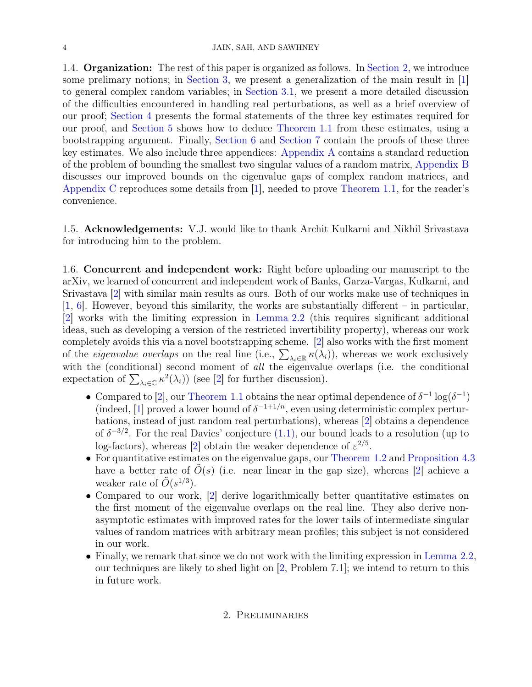#### 4 JAIN, SAH, AND SAWHNEY

1.4. **Organization:** The rest of this paper is organized as follows. In [Section 2,](#page-3-0) we introduce some prelimary notions; in [Section 3,](#page-7-1) we present a generalization of the main result in [\[1\]](#page-18-1) to general complex random variables; in [Section 3.1,](#page-9-0) we present a more detailed discussion of the difficulties encountered in handling real perturbations, as well as a brief overview of our proof; [Section 4](#page-9-1) presents the formal statements of the three key estimates required for our proof, and [Section 5](#page-10-2) shows how to deduce [Theorem 1.1](#page-1-1) from these estimates, using a bootstrapping argument. Finally, [Section 6](#page-13-0) and [Section 7](#page-16-0) contain the proofs of these three key estimates. We also include three appendices: [Appendix A](#page-19-3) contains a standard reduction of the problem of bounding the smallest two singular values of a random matrix, [Appendix B](#page-19-2) discusses our improved bounds on the eigenvalue gaps of complex random matrices, and [Appendix C](#page-20-1) reproduces some details from [\[1\]](#page-18-1), needed to prove [Theorem 1.1,](#page-1-1) for the reader's convenience.

1.5. Acknowledgements: V.J. would like to thank Archit Kulkarni and Nikhil Srivastava for introducing him to the problem.

1.6. Concurrent and independent work: Right before uploading our manuscript to the arXiv, we learned of concurrent and independent work of Banks, Garza-Vargas, Kulkarni, and Srivastava [\[2\]](#page-18-7) with similar main results as ours. Both of our works make use of techniques in [\[1,](#page-18-1) [6\]](#page-18-3). However, beyond this similarity, the works are substantially different – in particular, [\[2\]](#page-18-7) works with the limiting expression in [Lemma 2.2](#page-5-0) (this requires significant additional ideas, such as developing a version of the restricted invertibility property), whereas our work completely avoids this via a novel bootstrapping scheme. [\[2\]](#page-18-7) also works with the first moment of the *eigenvalue overlaps* on the real line (i.e.,  $\sum_{\lambda_i \in \mathbb{R}} \kappa(\lambda_i)$ ), whereas we work exclusively with the (conditional) second moment of all the eigenvalue overlaps (i.e. the conditional expectation of  $\sum_{\lambda_i \in \mathbb{C}} \kappa^2(\lambda_i)$  (see [\[2\]](#page-18-7) for further discussion).

- Compared to [\[2\]](#page-18-7), our [Theorem 1.1](#page-1-1) obtains the near optimal dependence of  $\delta^{-1} \log(\delta^{-1})$ (indeed, [\[1\]](#page-18-1) proved a lower bound of  $\delta^{-1+1/n}$ , even using deterministic complex perturbations, instead of just random real perturbations), whereas [\[2\]](#page-18-7) obtains a dependence of  $\delta^{-3/2}$ . For the real Davies' conjecture  $(1.1)$ , our bound leads to a resolution (up to log-factors), whereas [\[2\]](#page-18-7) obtain the weaker dependence of  $\varepsilon^{2/5}$ .
- For quantitative estimates on the eigenvalue gaps, our [Theorem 1.2](#page-2-0) and [Proposition 4.3](#page-10-1) have a better rate of  $O(s)$  (i.e. near linear in the gap size), whereas [\[2\]](#page-18-7) achieve a weaker rate of  $\tilde{O}(s^{1/3})$ .
- Compared to our work, [\[2\]](#page-18-7) derive logarithmically better quantitative estimates on the first moment of the eigenvalue overlaps on the real line. They also derive nonasymptotic estimates with improved rates for the lower tails of intermediate singular values of random matrices with arbitrary mean profiles; this subject is not considered in our work.
- <span id="page-3-0"></span>• Finally, we remark that since we do not work with the limiting expression in [Lemma 2.2,](#page-5-0) our techniques are likely to shed light on [\[2,](#page-18-7) Problem 7.1]; we intend to return to this in future work.

# 2. Preliminaries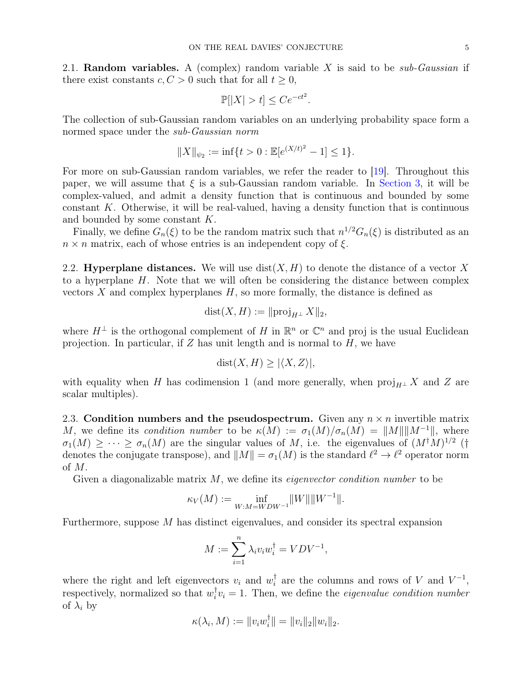2.1. **Random variables.** A (complex) random variable X is said to be *sub-Gaussian* if there exist constants  $c, C > 0$  such that for all  $t \geq 0$ ,

$$
\mathbb{P}[|X| > t] \le Ce^{-ct^2}.
$$

The collection of sub-Gaussian random variables on an underlying probability space form a normed space under the *sub-Gaussian norm* 

$$
||X||_{\psi_2} := \inf\{t > 0 : \mathbb{E}[e^{(X/t)^2} - 1] \le 1\}.
$$

For more on sub-Gaussian random variables, we refer the reader to [\[19\]](#page-19-4). Throughout this paper, we will assume that  $\xi$  is a sub-Gaussian random variable. In [Section 3,](#page-7-1) it will be complex-valued, and admit a density function that is continuous and bounded by some constant K. Otherwise, it will be real-valued, having a density function that is continuous and bounded by some constant K.

Finally, we define  $G_n(\xi)$  to be the random matrix such that  $n^{1/2}G_n(\xi)$  is distributed as an  $n \times n$  matrix, each of whose entries is an independent copy of  $\xi$ .

2.2. Hyperplane distances. We will use  $dist(X, H)$  to denote the distance of a vector X to a hyperplane H. Note that we will often be considering the distance between complex vectors  $X$  and complex hyperplanes  $H$ , so more formally, the distance is defined as

$$
dist(X, H) := ||proj_{H^{\perp}} X||_2,
$$

where  $H^{\perp}$  is the orthogonal complement of H in  $\mathbb{R}^{n}$  or  $\mathbb{C}^{n}$  and proj is the usual Euclidean projection. In particular, if  $Z$  has unit length and is normal to  $H$ , we have

$$
dist(X, H) \ge |\langle X, Z \rangle|,
$$

with equality when H has codimension 1 (and more generally, when  $proj_{H^{\perp}} X$  and Z are scalar multiples).

2.3. Condition numbers and the pseudospectrum. Given any  $n \times n$  invertible matrix M, we define its condition number to be  $\kappa(M) := \sigma_1(M)/\sigma_n(M) = ||M|| ||M^{-1}||$ , where  $\sigma_1(M) \geq \cdots \geq \sigma_n(M)$  are the singular values of M, i.e. the eigenvalues of  $(M^{\dagger}M)^{1/2}$  († denotes the conjugate transpose), and  $||M|| = \sigma_1(M)$  is the standard  $\ell^2 \to \ell^2$  operator norm of M.

Given a diagonalizable matrix  $M$ , we define its *eigenvector condition number* to be

$$
\kappa_V(M) := \inf_{W:M = WDW^{-1}} \|W\| \|W^{-1}\|.
$$

Furthermore, suppose M has distinct eigenvalues, and consider its spectral expansion

$$
M := \sum_{i=1}^{n} \lambda_i v_i w_i^{\dagger} = VDV^{-1},
$$

where the right and left eigenvectors  $v_i$  and  $w_i^{\dagger}$  $\iota_i^{\dagger}$  are the columns and rows of V and  $V^{-1}$ , respectively, normalized so that  $w_i^{\dagger}$  $\bar{i}_i v_i = 1$ . Then, we define the *eigenvalue condition number* of  $\lambda_i$  by

$$
\kappa(\lambda_i, M) := ||v_i w_i^{\dagger}|| = ||v_i||_2 ||w_i||_2.
$$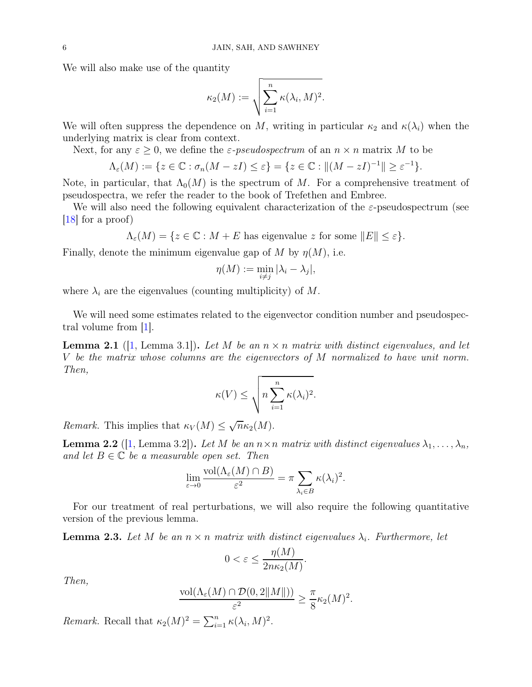We will also make use of the quantity

$$
\kappa_2(M):=\sqrt{\sum_{i=1}^n \kappa(\lambda_i,M)^2}.
$$

We will often suppress the dependence on M, writing in particular  $\kappa_2$  and  $\kappa(\lambda_i)$  when the underlying matrix is clear from context.

Next, for any  $\varepsilon \geq 0$ , we define the  $\varepsilon$ -pseudospectrum of an  $n \times n$  matrix M to be

$$
\Lambda_{\varepsilon}(M) := \{ z \in \mathbb{C} : \sigma_n(M - zI) \le \varepsilon \} = \{ z \in \mathbb{C} : || (M - zI)^{-1} || \ge \varepsilon^{-1} \}.
$$

Note, in particular, that  $\Lambda_0(M)$  is the spectrum of M. For a comprehensive treatment of pseudospectra, we refer the reader to the book of Trefethen and Embree.

We will also need the following equivalent characterization of the  $\varepsilon$ -pseudospectrum (see [\[18\]](#page-19-5) for a proof)

 $\Lambda_{\varepsilon}(M) = \{z \in \mathbb{C} : M + E \text{ has eigenvalue } z \text{ for some } ||E|| \leq \varepsilon\}.$ 

Finally, denote the minimum eigenvalue gap of M by  $\eta(M)$ , i.e.

$$
\eta(M) := \min_{i \neq j} |\lambda_i - \lambda_j|,
$$

where  $\lambda_i$  are the eigenvalues (counting multiplicity) of M.

<span id="page-5-2"></span>We will need some estimates related to the eigenvector condition number and pseudospectral volume from [\[1\]](#page-18-1).

**Lemma 2.1** ([\[1,](#page-18-1) Lemma 3.1]). Let M be an  $n \times n$  matrix with distinct eigenvalues, and let V be the matrix whose columns are the eigenvectors of M normalized to have unit norm. Then,

$$
\kappa(V) \le \sqrt{n \sum_{i=1}^n \kappa(\lambda_i)^2}.
$$

<span id="page-5-0"></span>Remark. This implies that  $\kappa_V(M) \leq \sqrt{n} \kappa_2(M)$ .

**Lemma 2.2** ([\[1,](#page-18-1) Lemma 3.2]). Let M be an  $n \times n$  matrix with distinct eigenvalues  $\lambda_1, \ldots, \lambda_n$ , and let  $B \in \mathbb{C}$  be a measurable open set. Then

$$
\lim_{\varepsilon \to 0} \frac{\text{vol}(\Lambda_{\varepsilon}(M) \cap B)}{\varepsilon^2} = \pi \sum_{\lambda_i \in B} \kappa(\lambda_i)^2.
$$

<span id="page-5-1"></span>For our treatment of real perturbations, we will also require the following quantitative version of the previous lemma.

**Lemma 2.3.** Let M be an  $n \times n$  matrix with distinct eigenvalues  $\lambda_i$ . Furthermore, let

$$
0 < \varepsilon \le \frac{\eta(M)}{2n\kappa_2(M)}.
$$

Then,

$$
\frac{\text{vol}(\Lambda_{\varepsilon}(M) \cap \mathcal{D}(0,2||M||))}{\varepsilon^2} \geq \frac{\pi}{8} \kappa_2(M)^2.
$$

Remark. Recall that  $\kappa_2(M)^2 = \sum_{i=1}^n \kappa(\lambda_i, M)^2$ .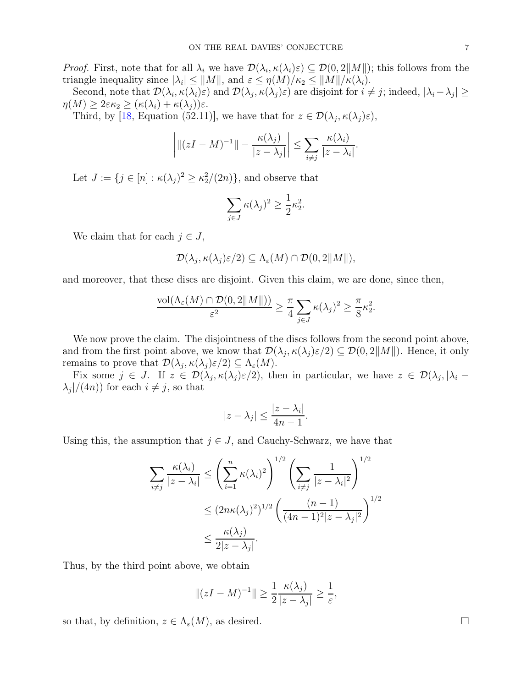*Proof.* First, note that for all  $\lambda_i$  we have  $\mathcal{D}(\lambda_i, \kappa(\lambda_i)\varepsilon) \subseteq \mathcal{D}(0, 2||M||)$ ; this follows from the triangle inequality since  $|\lambda_i| \le ||M||$ , and  $\varepsilon \le \eta(M)/\kappa_2 \le ||M||/\kappa(\lambda_i)$ .

Second, note that  $\mathcal{D}(\lambda_i, \kappa(\lambda_i)\varepsilon)$  and  $\mathcal{D}(\lambda_j, \kappa(\lambda_j)\varepsilon)$  are disjoint for  $i \neq j$ ; indeed,  $|\lambda_i - \lambda_j| \ge$  $\eta(M) \geq 2\varepsilon\kappa_2 \geq (\kappa(\lambda_i) + \kappa(\lambda_j))\varepsilon.$ 

Third, by [\[18,](#page-19-5) Equation (52.11)], we have that for  $z \in \mathcal{D}(\lambda_j, \kappa(\lambda_j)\varepsilon)$ ,

$$
\left| \left\| (zI - M)^{-1} \right\| - \frac{\kappa(\lambda_j)}{|z - \lambda_j|} \right| \le \sum_{i \neq j} \frac{\kappa(\lambda_i)}{|z - \lambda_i|}.
$$

Let  $J := \{ j \in [n] : \kappa(\lambda_j)^2 \geq \kappa_2^2/(2n) \},\$ and observe that

$$
\sum_{j \in J} \kappa(\lambda_j)^2 \ge \frac{1}{2} \kappa_2^2.
$$

We claim that for each  $j \in J$ ,

$$
\mathcal{D}(\lambda_j, \kappa(\lambda_j)\varepsilon/2) \subseteq \Lambda_{\varepsilon}(M) \cap \mathcal{D}(0,2||M||),
$$

and moreover, that these discs are disjoint. Given this claim, we are done, since then,

$$
\frac{\text{vol}(\Lambda_{\varepsilon}(M) \cap \mathcal{D}(0,2||M||))}{\varepsilon^2} \geq \frac{\pi}{4} \sum_{j \in J} \kappa(\lambda_j)^2 \geq \frac{\pi}{8} \kappa_2^2.
$$

We now prove the claim. The disjointness of the discs follows from the second point above, and from the first point above, we know that  $\mathcal{D}(\lambda_j, \kappa(\lambda_j)\varepsilon/2) \subseteq \mathcal{D}(0, 2||M||)$ . Hence, it only remains to prove that  $\mathcal{D}(\lambda_j, \kappa(\lambda_j)\varepsilon/2) \subseteq \Lambda_{\varepsilon}(M)$ .

Fix some  $j \in J$ . If  $z \in \mathcal{D}(\lambda_j, \kappa(\lambda_j)\varepsilon/2)$ , then in particular, we have  $z \in \mathcal{D}(\lambda_j, |\lambda_i - \lambda_j|)$  $\lambda_j$ /(4*n*)) for each  $i \neq j$ , so that

$$
|z - \lambda_j| \le \frac{|z - \lambda_i|}{4n - 1}.
$$

Using this, the assumption that  $j \in J$ , and Cauchy-Schwarz, we have that

$$
\sum_{i \neq j} \frac{\kappa(\lambda_i)}{|z - \lambda_i|} \le \left(\sum_{i=1}^n \kappa(\lambda_i)^2\right)^{1/2} \left(\sum_{i \neq j} \frac{1}{|z - \lambda_i|^2}\right)^{1/2}
$$

$$
\le (2n\kappa(\lambda_j)^2)^{1/2} \left(\frac{(n-1)}{(4n-1)^2|z - \lambda_j|^2}\right)^{1/2}
$$

$$
\le \frac{\kappa(\lambda_j)}{2|z - \lambda_j|}.
$$

Thus, by the third point above, we obtain

$$
||(zI - M)^{-1}|| \ge \frac{1}{2} \frac{\kappa(\lambda_j)}{|z - \lambda_j|} \ge \frac{1}{\varepsilon},
$$

so that, by definition,  $z \in \Lambda_{\varepsilon}(M)$ , as desired.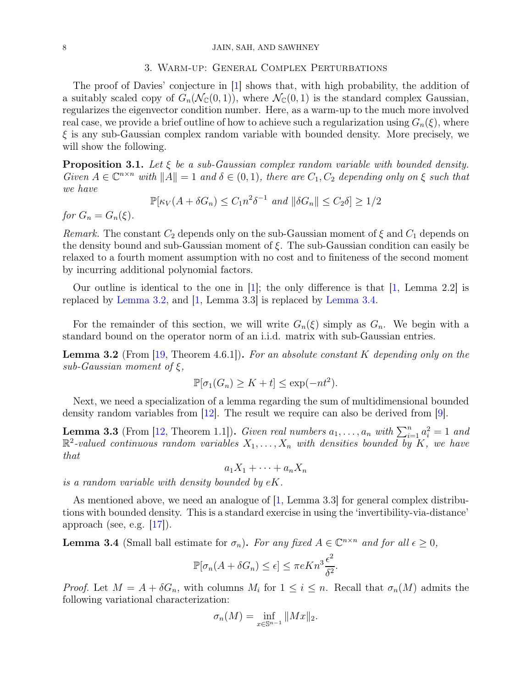#### <span id="page-7-1"></span>8 JAIN, SAH, AND SAWHNEY

## 3. Warm-up: General Complex Perturbations

The proof of Davies' conjecture in [\[1\]](#page-18-1) shows that, with high probability, the addition of a suitably scaled copy of  $G_n(\mathcal{N}_\mathbb{C}(0,1))$ , where  $\mathcal{N}_\mathbb{C}(0,1)$  is the standard complex Gaussian, regularizes the eigenvector condition number. Here, as a warm-up to the much more involved real case, we provide a brief outline of how to achieve such a regularization using  $G_n(\xi)$ , where  $\xi$  is any sub-Gaussian complex random variable with bounded density. More precisely, we will show the following.

<span id="page-7-0"></span>**Proposition 3.1.** Let  $\xi$  be a sub-Gaussian complex random variable with bounded density. Given  $A \in \mathbb{C}^{n \times n}$  with  $||A|| = 1$  and  $\delta \in (0, 1)$ , there are  $C_1, C_2$  depending only on  $\xi$  such that we have

$$
\mathbb{P}[\kappa_V(A + \delta G_n) \le C_1 n^2 \delta^{-1} \text{ and } ||\delta G_n|| \le C_2 \delta] \ge 1/2
$$

for  $G_n = G_n(\xi)$ .

Remark. The constant  $C_2$  depends only on the sub-Gaussian moment of  $\xi$  and  $C_1$  depends on the density bound and sub-Gaussian moment of  $\xi$ . The sub-Gaussian condition can easily be relaxed to a fourth moment assumption with no cost and to finiteness of the second moment by incurring additional polynomial factors.

Our outline is identical to the one in  $|1|$ ; the only difference is that  $|1|$ , Lemma 2.2 is replaced by [Lemma 3.2,](#page-7-2) and [\[1,](#page-18-1) Lemma 3.3] is replaced by [Lemma 3.4.](#page-7-3)

<span id="page-7-2"></span>For the remainder of this section, we will write  $G_n(\xi)$  simply as  $G_n$ . We begin with a standard bound on the operator norm of an i.i.d. matrix with sub-Gaussian entries.

**Lemma 3.2** (From [\[19,](#page-19-4) Theorem 4.6.1]). For an absolute constant K depending only on the sub-Gaussian moment of  $\xi$ ,

$$
\mathbb{P}[\sigma_1(G_n) \ge K + t] \le \exp(-nt^2).
$$

<span id="page-7-4"></span>Next, we need a specialization of a lemma regarding the sum of multidimensional bounded density random variables from [\[12\]](#page-18-8). The result we require can also be derived from [\[9\]](#page-18-9).

**Lemma 3.3** (From [\[12,](#page-18-8) Theorem 1.1]). Given real numbers  $a_1, \ldots, a_n$  with  $\sum_{i=1}^n a_i^2 = 1$  and  $\mathbb{R}^2$ -valued continuous random variables  $X_1, \ldots, X_n$  with densities bounded by K, we have that

$$
a_1X_1+\cdots+a_nX_n
$$

is a random variable with density bounded by  $eK$ .

As mentioned above, we need an analogue of [\[1,](#page-18-1) Lemma 3.3] for general complex distributions with bounded density. This is a standard exercise in using the 'invertibility-via-distance' approach (see, e.g.  $|17|$ ).

<span id="page-7-3"></span>**Lemma 3.4** (Small ball estimate for  $\sigma_n$ ). For any fixed  $A \in \mathbb{C}^{n \times n}$  and for all  $\epsilon \geq 0$ ,

$$
\mathbb{P}[\sigma_n(A + \delta G_n) \le \epsilon] \le \pi e K n^3 \frac{\epsilon^2}{\delta^2}.
$$

*Proof.* Let  $M = A + \delta G_n$ , with columns  $M_i$  for  $1 \leq i \leq n$ . Recall that  $\sigma_n(M)$  admits the following variational characterization:

$$
\sigma_n(M) = \inf_{x \in \mathbb{S}^{n-1}} \|Mx\|_2.
$$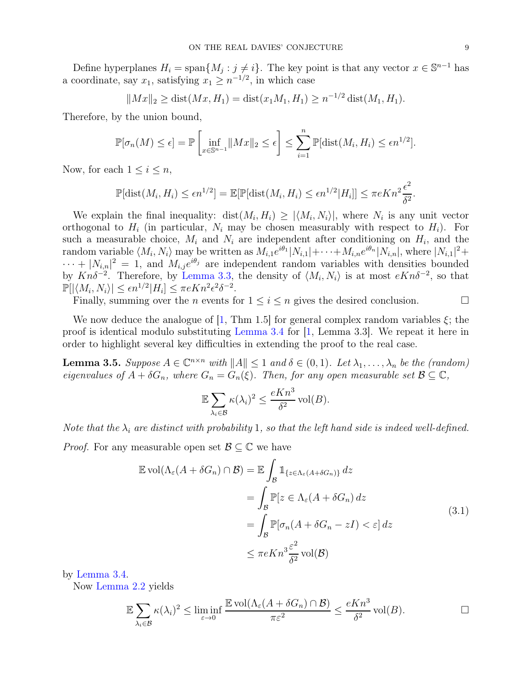Define hyperplanes  $H_i = \text{span}\{M_j : j \neq i\}$ . The key point is that any vector  $x \in \mathbb{S}^{n-1}$  has a coordinate, say  $x_1$ , satisfying  $x_1 \geq n^{-1/2}$ , in which case

$$
||Mx||_2 \ge \text{dist}(Mx, H_1) = \text{dist}(x_1M_1, H_1) \ge n^{-1/2} \text{dist}(M_1, H_1).
$$

Therefore, by the union bound,

$$
\mathbb{P}[\sigma_n(M) \leq \epsilon] = \mathbb{P}\left[\inf_{x \in \mathbb{S}^{n-1}} \|Mx\|_2 \leq \epsilon\right] \leq \sum_{i=1}^n \mathbb{P}[\text{dist}(M_i, H_i) \leq \epsilon n^{1/2}].
$$

Now, for each  $1 \leq i \leq n$ ,

$$
\mathbb{P}[\text{dist}(M_i, H_i) \le \epsilon n^{1/2}] = \mathbb{E}[\mathbb{P}[\text{dist}(M_i, H_i) \le \epsilon n^{1/2} | H_i]] \le \pi e K n^2 \frac{\epsilon^2}{\delta^2}.
$$

We explain the final inequality:  $dist(M_i, H_i) \geq |\langle M_i, N_i \rangle|$ , where  $N_i$  is any unit vector orthogonal to  $H_i$  (in particular,  $N_i$  may be chosen measurably with respect to  $H_i$ ). For such a measurable choice,  $M_i$  and  $N_i$  are independent after conditioning on  $H_i$ , and the random variable  $\langle M_i, N_i \rangle$  may be written as  $M_{i,1}e^{i\theta_1}|N_{i,1}|+\cdots+M_{i,n}e^{i\theta_n}|N_{i,n}|$ , where  $|N_{i,1}|^2+$  $\cdots + |N_{i,n}|^2 = 1$ , and  $M_{i,j}e^{i\theta_j}$  are independent random variables with densities bounded by  $Kn\delta^{-2}$ . Therefore, by [Lemma 3.3,](#page-7-4) the density of  $\langle M_i, N_i \rangle$  is at most  $eKn\delta^{-2}$ , so that  $\mathbb{P}[|\langle M_i, N_i \rangle| \leq \epsilon n^{1/2} |H_i] \leq \pi e K n^2 \epsilon^2 \delta^{-2}.$ 

Finally, summing over the *n* events for  $1 \leq i \leq n$  gives the desired conclusion.

We now deduce the analogue of [\[1,](#page-18-1) Thm 1.5] for general complex random variables  $\xi$ ; the proof is identical modulo substituting [Lemma 3.4](#page-7-3) for [\[1,](#page-18-1) Lemma 3.3]. We repeat it here in order to highlight several key difficulties in extending the proof to the real case.

<span id="page-8-0"></span>**Lemma 3.5.** Suppose  $A \in \mathbb{C}^{n \times n}$  with  $||A|| \leq 1$  and  $\delta \in (0, 1)$ . Let  $\lambda_1, \ldots, \lambda_n$  be the (random) eigenvalues of  $A + \delta G_n$ , where  $G_n = G_n(\xi)$ . Then, for any open measurable set  $\mathcal{B} \subseteq \mathbb{C}$ ,

<span id="page-8-1"></span>
$$
\mathbb{E}\sum_{\lambda_i\in\mathcal{B}}\kappa(\lambda_i)^2\leq \frac{eKn^3}{\delta^2}\operatorname{vol}(B).
$$

Note that the  $\lambda_i$  are distinct with probability 1, so that the left hand side is indeed well-defined.

*Proof.* For any measurable open set  $\mathcal{B} \subseteq \mathbb{C}$  we have

$$
\mathbb{E}\operatorname{vol}(\Lambda_{\varepsilon}(A+\delta G_n)\cap\mathcal{B}) = \mathbb{E}\int_{\mathcal{B}}\mathbb{1}_{\{z\in\Lambda_{\varepsilon}(A+\delta G_n)\}}dz
$$
  
\n
$$
= \int_{\mathcal{B}}\mathbb{P}[z\in\Lambda_{\varepsilon}(A+\delta G_n)\,dz
$$
  
\n
$$
= \int_{\mathcal{B}}\mathbb{P}[\sigma_n(A+\delta G_n-zI)<\varepsilon]\,dz
$$
  
\n
$$
\leq \pi eKn^3\frac{\varepsilon^2}{\delta^2}\operatorname{vol}(\mathcal{B})
$$
\n(3.1)

by [Lemma 3.4.](#page-7-3)

Now [Lemma 2.2](#page-5-0) yields

$$
\mathbb{E}\sum_{\lambda_i\in\mathcal{B}}\kappa(\lambda_i)^2 \le \liminf_{\varepsilon\to 0}\frac{\mathbb{E}\operatorname{vol}(\Lambda_{\varepsilon}(A+\delta G_n)\cap\mathcal{B})}{\pi\varepsilon^2} \le \frac{eKn^3}{\delta^2}\operatorname{vol}(B). \qquad \Box
$$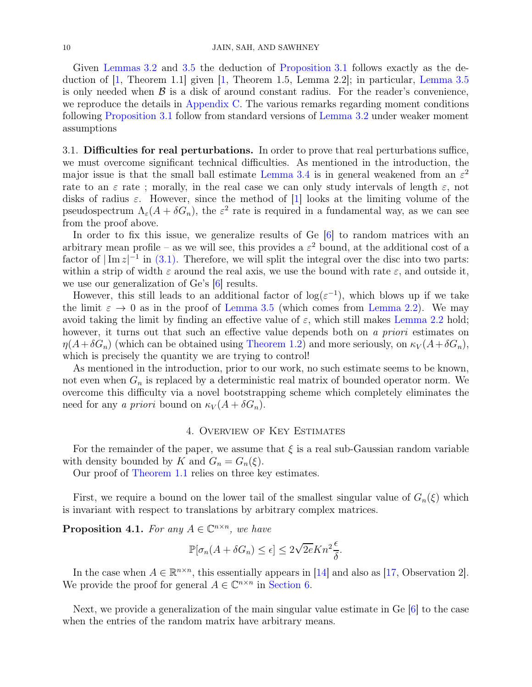Given [Lemmas 3.2](#page-7-2) and [3.5](#page-8-0) the deduction of [Proposition 3.1](#page-7-0) follows exactly as the deduction of  $[1,$  Theorem 1.1] given  $[1,$  Theorem 1.5, Lemma 2.2]; in particular, [Lemma 3.5](#page-8-0) is only needed when  $\beta$  is a disk of around constant radius. For the reader's convenience, we reproduce the details in [Appendix C.](#page-20-1) The various remarks regarding moment conditions following [Proposition 3.1](#page-7-0) follow from standard versions of [Lemma 3.2](#page-7-2) under weaker moment assumptions

<span id="page-9-0"></span>3.1. Difficulties for real perturbations. In order to prove that real perturbations suffice, we must overcome significant technical difficulties. As mentioned in the introduction, the major issue is that the small ball estimate [Lemma 3.4](#page-7-3) is in general weakened from an  $\varepsilon^2$ rate to an  $\varepsilon$  rate ; morally, in the real case we can only study intervals of length  $\varepsilon$ , not disks of radius  $\varepsilon$ . However, since the method of [\[1\]](#page-18-1) looks at the limiting volume of the pseudospectrum  $\Lambda_{\varepsilon}(A+\delta G_n)$ , the  $\varepsilon^2$  rate is required in a fundamental way, as we can see from the proof above.

In order to fix this issue, we generalize results of Ge  $[6]$  to random matrices with an arbitrary mean profile – as we will see, this provides a  $\varepsilon^2$  bound, at the additional cost of a factor of  $|\text{Im } z|^{-1}$  in [\(3.1\).](#page-8-1) Therefore, we will split the integral over the disc into two parts: within a strip of width  $\varepsilon$  around the real axis, we use the bound with rate  $\varepsilon$ , and outside it, we use our generalization of Ge's [\[6\]](#page-18-3) results.

However, this still leads to an additional factor of  $\log(\varepsilon^{-1})$ , which blows up if we take the limit  $\varepsilon \to 0$  as in the proof of [Lemma 3.5](#page-8-0) (which comes from [Lemma 2.2\)](#page-5-0). We may avoid taking the limit by finding an effective value of  $\varepsilon$ , which still makes [Lemma 2.2](#page-5-0) hold; however, it turns out that such an effective value depends both on a priori estimates on  $\eta(A+\delta G_n)$  (which can be obtained using [Theorem 1.2\)](#page-2-0) and more seriously, on  $\kappa_V(A+\delta G_n)$ , which is precisely the quantity we are trying to control!

As mentioned in the introduction, prior to our work, no such estimate seems to be known, not even when  $G_n$  is replaced by a deterministic real matrix of bounded operator norm. We overcome this difficulty via a novel bootstrapping scheme which completely eliminates the need for any a priori bound on  $\kappa_V (A + \delta G_n)$ .

# 4. Overview of Key Estimates

<span id="page-9-1"></span>For the remainder of the paper, we assume that  $\xi$  is a real sub-Gaussian random variable with density bounded by K and  $G_n = G_n(\xi)$ .

Our proof of [Theorem 1.1](#page-1-1) relies on three key estimates.

<span id="page-9-3"></span>First, we require a bound on the lower tail of the smallest singular value of  $G_n(\xi)$  which is invariant with respect to translations by arbitrary complex matrices.

**Proposition 4.1.** For any  $A \in \mathbb{C}^{n \times n}$ , we have

$$
\mathbb{P}[\sigma_n(A + \delta G_n) \le \epsilon] \le 2\sqrt{2e}Kn^2\frac{\epsilon}{\delta}.
$$

In the case when  $A \in \mathbb{R}^{n \times n}$ , this essentially appears in [\[14\]](#page-18-10) and also as [\[17,](#page-19-6) Observation 2]. We provide the proof for general  $A \in \mathbb{C}^{n \times n}$  in [Section 6.](#page-13-0)

<span id="page-9-2"></span>Next, we provide a generalization of the main singular value estimate in Ge [\[6\]](#page-18-3) to the case when the entries of the random matrix have arbitrary means.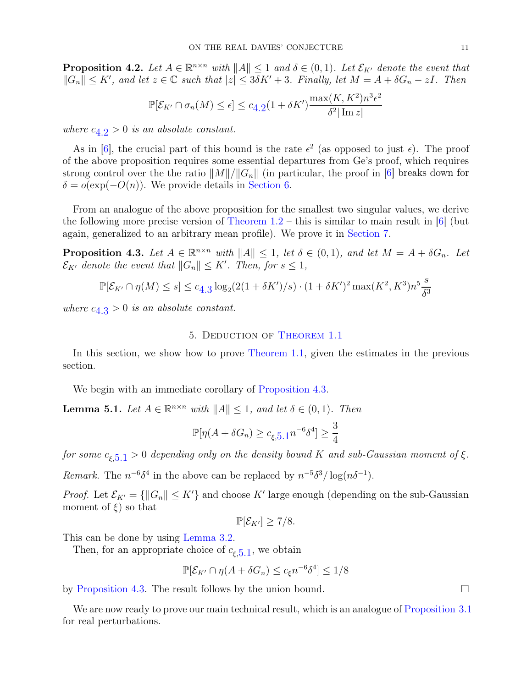**Proposition 4.2.** Let  $A \in \mathbb{R}^{n \times n}$  with  $||A|| \leq 1$  and  $\delta \in (0,1)$ . Let  $\mathcal{E}_{K'}$  denote the event that  $||G_n|| \leq K'$ , and let  $z \in \mathbb{C}$  such that  $|z| \leq 3\delta K' + 3$ . Finally, let  $M = A + \delta G_n - zI$ . Then

$$
\mathbb{P}[\mathcal{E}_{K'} \cap \sigma_n(M) \le \epsilon] \le c_{4.2} (1 + \delta K') \frac{\max(K, K^2) n^3 \epsilon^2}{\delta^2 |\operatorname{Im} z|}
$$

where  $c_{4,2} > 0$  $c_{4,2} > 0$  $c_{4,2} > 0$  is an absolute constant.

As in [\[6\]](#page-18-3), the crucial part of this bound is the rate  $\epsilon^2$  (as opposed to just  $\epsilon$ ). The proof of the above proposition requires some essential departures from Ge's proof, which requires strong control over the the ratio  $||M||/||G_n||$  (in particular, the proof in [\[6\]](#page-18-3) breaks down for  $\delta = o(\exp(-O(n))$ . We provide details in [Section 6.](#page-13-0)

From an analogue of the above proposition for the smallest two singular values, we derive the following more precise version of Theorem  $1.2$  – this is similar to main result in [\[6\]](#page-18-3) (but again, generalized to an arbitrary mean profile). We prove it in [Section 7.](#page-16-0)

<span id="page-10-1"></span>**Proposition 4.3.** Let  $A \in \mathbb{R}^{n \times n}$  with  $||A|| \leq 1$ , let  $\delta \in (0, 1)$ , and let  $M = A + \delta G_n$ . Let  $\mathcal{E}_{K'}$  denote the event that  $||G_n|| \leq K'$ . Then, for  $s \leq 1$ ,

$$
\mathbb{P}[\mathcal{E}_{K'} \cap \eta(M) \le s] \le c_{4.3} \log_2(2(1 + \delta K')/s) \cdot (1 + \delta K')^2 \max(K^2, K^3) n^5 \frac{s}{\delta^3}
$$

<span id="page-10-2"></span>where  $c_{4,3} > 0$  $c_{4,3} > 0$  $c_{4,3} > 0$  is an absolute constant.

# 5. Deduction of [Theorem 1.1](#page-1-1)

In this section, we show how to prove [Theorem 1.1,](#page-1-1) given the estimates in the previous section.

<span id="page-10-3"></span>We begin with an immediate corollary of [Proposition 4.3.](#page-10-1)

**Lemma 5.1.** Let  $A \in \mathbb{R}^{n \times n}$  with  $||A|| \leq 1$ , and let  $\delta \in (0, 1)$ . Then

$$
\mathbb{P}[\eta(A+\delta G_n) \ge c_{\xi,5.1} n^{-6} \delta^4] \ge \frac{3}{4}
$$

for some  $c_{\xi,5,1} > 0$  $c_{\xi,5,1} > 0$  $c_{\xi,5,1} > 0$  depending only on the density bound K and sub-Gaussian moment of  $\xi$ .

Remark. The  $n^{-6}\delta^4$  in the above can be replaced by  $n^{-5}\delta^3/\log(n\delta^{-1})$ .

*Proof.* Let  $\mathcal{E}_{K'} = \{ ||G_n|| \leq K' \}$  and choose K' large enough (depending on the sub-Gaussian moment of  $\xi$ ) so that

$$
\mathbb{P}[\mathcal{E}_{K'}] \geq 7/8.
$$

This can be done by using [Lemma 3.2.](#page-7-2)

Then, for an appropriate choice of  $c_{\xi,5,1}$  $c_{\xi,5,1}$  $c_{\xi,5,1}$ , we obtain

$$
\mathbb{P}[\mathcal{E}_{K'} \cap \eta(A + \delta G_n) \le c_{\xi} n^{-6} \delta^4] \le 1/8
$$

by [Proposition 4.3.](#page-10-1) The result follows by the union bound.

<span id="page-10-0"></span>We are now ready to prove our main technical result, which is an analogue of [Proposition 3.1](#page-7-0) for real perturbations.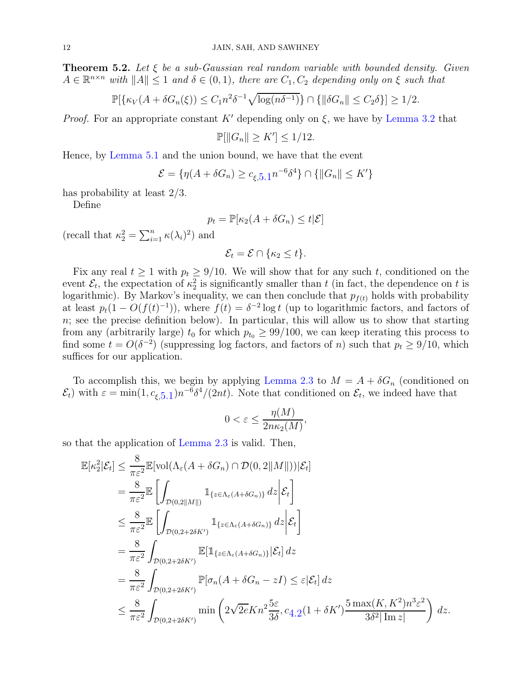**Theorem 5.2.** Let  $\xi$  be a sub-Gaussian real random variable with bounded density. Given  $A \in \mathbb{R}^{n \times n}$  with  $||A|| \leq 1$  and  $\delta \in (0, 1)$ , there are  $C_1, C_2$  depending only on  $\xi$  such that

$$
\mathbb{P}[\{\kappa_V(A+\delta G_n(\xi))\leq C_1n^2\delta^{-1}\sqrt{\log(n\delta^{-1})}\}\cap \{\|\delta G_n\|\leq C_2\delta\}] \geq 1/2.
$$

*Proof.* For an appropriate constant K' depending only on  $\xi$ , we have by [Lemma 3.2](#page-7-2) that

$$
\mathbb{P}[\|G_n\| \ge K'] \le 1/12.
$$

Hence, by [Lemma 5.1](#page-10-3) and the union bound, we have that the event

$$
\mathcal{E} = \{ \eta(A + \delta G_n) \ge c_{\xi, 5.1} n^{-6} \delta^4 \} \cap \{ ||G_n|| \le K' \}
$$

has probability at least 2/3.

Define

$$
p_t = \mathbb{P}[\kappa_2(A + \delta G_n) \le t | \mathcal{E}]
$$

(recall that  $\kappa_2^2 = \sum_{i=1}^n \kappa(\lambda_i)^2$ ) and

$$
\mathcal{E}_t = \mathcal{E} \cap \{\kappa_2 \leq t\}.
$$

Fix any real  $t \ge 1$  with  $p_t \ge 9/10$ . We will show that for any such t, conditioned on the event  $\mathcal{E}_t$ , the expectation of  $\kappa_2^2$  is significantly smaller than t (in fact, the dependence on t is logarithmic). By Markov's inequality, we can then conclude that  $p_{f(t)}$  holds with probability at least  $p_t(1 - O(f(t))$ , where  $f(t) = \delta^{-2} \log t$  (up to logarithmic factors, and factors of  $n$ ; see the precise definition below). In particular, this will allow us to show that starting from any (arbitrarily large)  $t_0$  for which  $p_{t_0} \geq 99/100$ , we can keep iterating this process to find some  $t = O(\delta^{-2})$  (suppressing log factors, and factors of n) such that  $p_t \ge 9/10$ , which suffices for our application.

To accomplish this, we begin by applying [Lemma 2.3](#page-5-1) to  $M = A + \delta G_n$  (conditioned on  $(\mathcal{E}_t)$  with  $\varepsilon = \min(1, c_{\xi, 5.1}) n^{-6} \delta^4/(2nt)$  $\varepsilon = \min(1, c_{\xi, 5.1}) n^{-6} \delta^4/(2nt)$  $\varepsilon = \min(1, c_{\xi, 5.1}) n^{-6} \delta^4/(2nt)$ . Note that conditioned on  $\mathcal{E}_t$ , we indeed have that

$$
0 < \varepsilon \le \frac{\eta(M)}{2n\kappa_2(M)},
$$

so that the application of [Lemma 2.3](#page-5-1) is valid. Then,

$$
\mathbb{E}[\kappa_2^2|\mathcal{E}_t] \leq \frac{8}{\pi \varepsilon^2} \mathbb{E}[\text{vol}(\Lambda_{\varepsilon}(A + \delta G_n) \cap \mathcal{D}(0, 2||M||))|\mathcal{E}_t]
$$
\n
$$
= \frac{8}{\pi \varepsilon^2} \mathbb{E} \left[ \int_{\mathcal{D}(0, 2||M||)} \mathbb{1}_{\{z \in \Lambda_{\varepsilon}(A + \delta G_n)\}} dz \Big| \mathcal{E}_t \right]
$$
\n
$$
\leq \frac{8}{\pi \varepsilon^2} \mathbb{E} \left[ \int_{\mathcal{D}(0, 2 + 2\delta K')} \mathbb{1}_{\{z \in \Lambda_{\varepsilon}(A + \delta G_n)\}} dz \Big| \mathcal{E}_t \right]
$$
\n
$$
= \frac{8}{\pi \varepsilon^2} \int_{\mathcal{D}(0, 2 + 2\delta K')} \mathbb{E}[\mathbb{1}_{\{z \in \Lambda_{\varepsilon}(A + \delta G_n)\}}|\mathcal{E}_t] dz
$$
\n
$$
= \frac{8}{\pi \varepsilon^2} \int_{\mathcal{D}(0, 2 + 2\delta K')} \mathbb{P}[\sigma_n(A + \delta G_n - zI) \leq \varepsilon |\mathcal{E}_t] dz
$$
\n
$$
\leq \frac{8}{\pi \varepsilon^2} \int_{\mathcal{D}(0, 2 + 2\delta K')} \min \left(2\sqrt{2\varepsilon} K n^2 \frac{5\varepsilon}{3\delta}, c_{4,2}(1 + \delta K') \frac{5 \max(K, K^2)n^3 \varepsilon^2}{3\delta^2 |\operatorname{Im} z|}\right) dz.
$$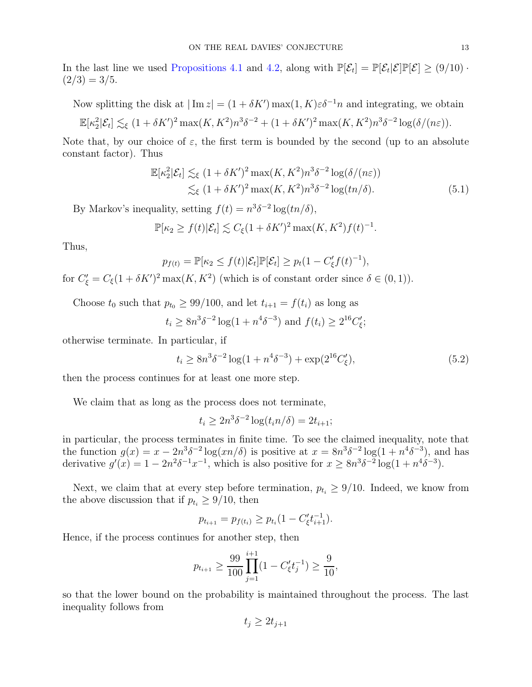In the last line we used [Propositions 4.1](#page-9-3) and [4.2,](#page-9-2) along with  $\mathbb{P}[\mathcal{E}_t] = \mathbb{P}[\mathcal{E}_t | \mathcal{E}] \mathbb{P}[\mathcal{E}] \ge (9/10) \cdot$  $(2/3) = 3/5.$ 

Now splitting the disk at  $|\text{Im } z| = (1 + \delta K') \max(1, K) \varepsilon \delta^{-1} n$  and integrating, we obtain

$$
\mathbb{E}[\kappa_2^2|\mathcal{E}_t] \lesssim_{\xi} (1+\delta K')^2 \max(K, K^2) n^3 \delta^{-2} + (1+\delta K')^2 \max(K, K^2) n^3 \delta^{-2} \log(\delta/(n\varepsilon)).
$$

Note that, by our choice of  $\varepsilon$ , the first term is bounded by the second (up to an absolute constant factor). Thus

$$
\mathbb{E}[\kappa_2^2|\mathcal{E}_t] \lesssim_{\xi} (1 + \delta K')^2 \max(K, K^2) n^3 \delta^{-2} \log(\delta/(n\varepsilon))
$$
  

$$
\lesssim_{\xi} (1 + \delta K')^2 \max(K, K^2) n^3 \delta^{-2} \log(t n/\delta).
$$
 (5.1)

By Markov's inequality, setting  $f(t) = n^3 \delta^{-2} \log(tn/\delta)$ ,

<span id="page-12-1"></span>
$$
\mathbb{P}[\kappa_2 \ge f(t)|\mathcal{E}_t] \lesssim C_{\xi}(1+\delta K')^2 \max(K, K^2) f(t)^{-1}.
$$

Thus,

$$
p_{f(t)} = \mathbb{P}[\kappa_2 \leq f(t)|\mathcal{E}_t]\mathbb{P}[\mathcal{E}_t] \geq p_t(1 - C'_{\xi}f(t)^{-1}),
$$

for  $C'_{\xi} = C_{\xi}(1 + \delta K')^2 \max(K, K^2)$  (which is of constant order since  $\delta \in (0, 1)$ ).

Choose  $t_0$  such that  $p_{t_0} \geq 99/100$ , and let  $t_{i+1} = f(t_i)$  as long as

$$
t_i \ge 8n^3 \delta^{-2} \log(1 + n^4 \delta^{-3})
$$
 and  $f(t_i) \ge 2^{16} C'_\xi$ ;

otherwise terminate. In particular, if

<span id="page-12-0"></span>
$$
t_i \ge 8n^3 \delta^{-2} \log(1 + n^4 \delta^{-3}) + \exp(2^{16} C_{\xi}'), \tag{5.2}
$$

then the process continues for at least one more step.

We claim that as long as the process does not terminate,

$$
t_i \ge 2n^3 \delta^{-2} \log(t_i n/\delta) = 2t_{i+1};
$$

in particular, the process terminates in finite time. To see the claimed inequality, note that the function  $g(x) = x - 2n^3 \delta^{-2} \log(xn/\delta)$  is positive at  $x = 8n^3 \delta^{-2} \log(1 + n^4 \delta^{-3})$ , and has derivative  $g'(x) = 1 - 2n^2 \delta^{-1} x^{-1}$ , which is also positive for  $x \ge 8n^3 \delta^{-2} \log(1 + n^4 \delta^{-3})$ .

Next, we claim that at every step before termination,  $p_{t_i} \geq 9/10$ . Indeed, we know from the above discussion that if  $p_{t_i} \geq 9/10$ , then

$$
p_{t_{i+1}} = p_{f(t_i)} \ge p_{t_i} (1 - C'_{\xi} t_{i+1}^{-1}).
$$

Hence, if the process continues for another step, then

$$
p_{t_{i+1}} \ge \frac{99}{100} \prod_{j=1}^{i+1} (1 - C'_{\xi} t_j^{-1}) \ge \frac{9}{10},
$$

so that the lower bound on the probability is maintained throughout the process. The last inequality follows from

$$
t_j \ge 2t_{j+1}
$$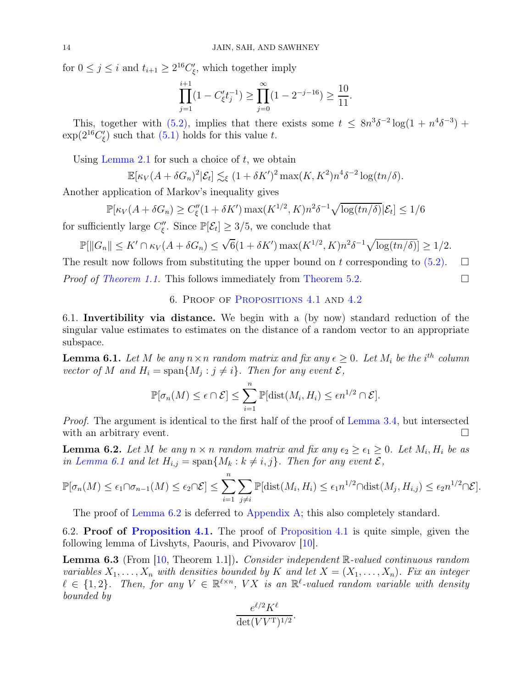for  $0 \leq j \leq i$  and  $t_{i+1} \geq 2^{16}C'_{\xi}$ , which together imply

$$
\prod_{j=1}^{i+1} (1 - C'_{\xi} t_j^{-1}) \ge \prod_{j=0}^{\infty} (1 - 2^{-j-16}) \ge \frac{10}{11}.
$$

This, together with  $(5.2)$ , implies that there exists some  $t \leq 8n^3\delta^{-2}\log(1+n^4\delta^{-3})$  +  $\exp(2^{16}C'_{\xi})$  such that  $(5.1)$  holds for this value t.

Using [Lemma 2.1](#page-5-2) for such a choice of  $t$ , we obtain

$$
\mathbb{E}[\kappa_V(A+\delta G_n)^2|\mathcal{E}_t] \lesssim_{\xi} (1+\delta K')^2 \max(K, K^2) n^4 \delta^{-2} \log(tn/\delta).
$$

Another application of Markov's inequality gives

$$
\mathbb{P}[\kappa_V(A + \delta G_n) \ge C''_{\xi}(1 + \delta K') \max(K^{1/2}, K) n^2 \delta^{-1} \sqrt{\log(tn/\delta)} |\mathcal{E}_t] \le 1/6
$$

for sufficiently large  $C''_{\xi}$ . Since  $\mathbb{P}[\mathcal{E}_t] \geq 3/5$ , we conclude that

$$
\mathbb{P}[\|G_n\| \leq K' \cap \kappa_V(A + \delta G_n) \leq \sqrt{6}(1 + \delta K') \max(K^{1/2}, K) n^2 \delta^{-1} \sqrt{\log(tn/\delta)}] \geq 1/2.
$$

<span id="page-13-0"></span>The result now follows from substituting the upper bound on t corresponding to  $(5.2)$ .  $\Box$ *Proof of [Theorem 1.1.](#page-1-1)* This follows immediately from [Theorem 5.2.](#page-10-0)  $\Box$ 

6. Proof of [Propositions 4.1](#page-9-3) and [4.2](#page-9-2)

6.1. Invertibility via distance. We begin with a (by now) standard reduction of the singular value estimates to estimates on the distance of a random vector to an appropriate subspace.

<span id="page-13-1"></span>**Lemma 6.1.** Let M be any  $n \times n$  random matrix and fix any  $\epsilon \geq 0$ . Let  $M_i$  be the i<sup>th</sup> column vector of M and  $H_i = \text{span}\{M_j : j \neq i\}$ . Then for any event  $\mathcal{E},$ 

$$
\mathbb{P}[\sigma_n(M) \leq \epsilon \cap \mathcal{E}] \leq \sum_{i=1}^n \mathbb{P}[\text{dist}(M_i, H_i) \leq \epsilon n^{1/2} \cap \mathcal{E}].
$$

Proof. The argument is identical to the first half of the proof of [Lemma 3.4,](#page-7-3) but intersected with an arbitrary event.

<span id="page-13-2"></span>**Lemma 6.2.** Let M be any  $n \times n$  random matrix and fix any  $\epsilon_2 \geq \epsilon_1 \geq 0$ . Let  $M_i$ ,  $H_i$  be as in [Lemma 6.1](#page-13-1) and let  $H_{i,j} = \text{span}\{M_k : k \neq i, j\}$ . Then for any event  $\mathcal{E},$ 

$$
\mathbb{P}[\sigma_n(M) \leq \epsilon_1 \cap \sigma_{n-1}(M) \leq \epsilon_2 \cap \mathcal{E}] \leq \sum_{i=1}^n \sum_{j \neq i} \mathbb{P}[\text{dist}(M_i, H_i) \leq \epsilon_1 n^{1/2} \cap \text{dist}(M_j, H_{i,j}) \leq \epsilon_2 n^{1/2} \cap \mathcal{E}].
$$

The proof of [Lemma 6.2](#page-13-2) is deferred to [Appendix A;](#page-19-3) this also completely standard.

<span id="page-13-3"></span>6.2. Proof of [Proposition 4.1.](#page-9-3) The proof of [Proposition 4.1](#page-9-3) is quite simple, given the following lemma of Livshyts, Paouris, and Pivovarov [\[10\]](#page-18-11).

**Lemma 6.3** (From  $\vert 10$ , Theorem 1.1.). Consider independent  $\mathbb{R}\text{-}valued$  continuous random variables  $X_1, \ldots, X_n$  with densities bounded by K and let  $X = (X_1, \ldots, X_n)$ . Fix an integer  $\ell \in \{1,2\}$ . Then, for any  $V \in \mathbb{R}^{\ell \times n}$ , VX is an  $\mathbb{R}^{\ell}$ -valued random variable with density bounded by

$$
\frac{e^{\ell/2}K^{\ell}}{\det(VV^{\mathrm{T}})^{1/2}}.
$$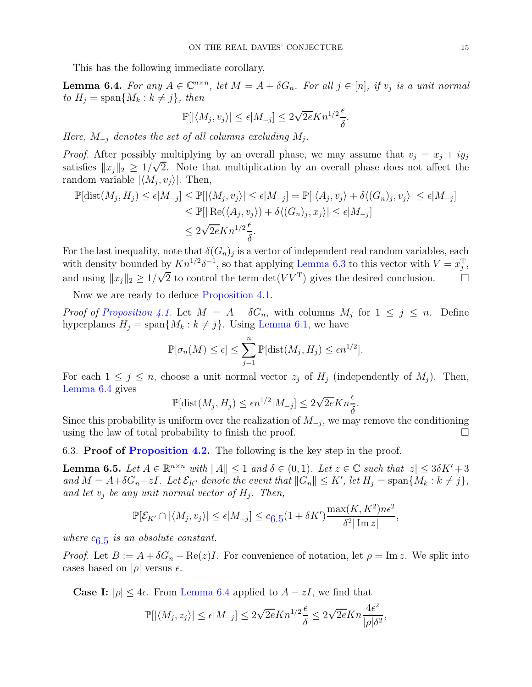<span id="page-14-0"></span>This has the following immediate corollary.

**Lemma 6.4.** For any  $A \in \mathbb{C}^{n \times n}$ , let  $M = A + \delta G_n$ . For all  $j \in [n]$ , if  $v_j$  is a unit normal to  $H_j = \text{span}\{M_k : k \neq j\}$ , then

$$
\mathbb{P}[|\langle M_j,v_j\rangle|\leq \epsilon|M_{-j}]\leq 2\sqrt{2e}K n^{1/2}\frac{\epsilon}{\delta}.
$$

Here,  $M_{-j}$  denotes the set of all columns excluding  $M_j$ .

*Proof.* After possibly multiplying by an overall phase, we may assume that  $v_j = x_j + iy_j$ satisfies  $||x_j||_2 \ge 1/\sqrt{2}$ . Note that multiplication by an overall phase does not affect the random variable  $|\langle M_j, v_j \rangle|$ . Then,

$$
\mathbb{P}[\text{dist}(M_j, H_j) \le \epsilon | M_{-j}] \le \mathbb{P}[|\langle M_j, v_j \rangle| \le \epsilon | M_{-j}] = \mathbb{P}[|\langle A_j, v_j \rangle + \delta \langle (G_n)_j, v_j \rangle| \le \epsilon | M_{-j}]
$$
  
\n
$$
\le \mathbb{P}[|\text{Re}(\langle A_j, v_j \rangle) + \delta \langle (G_n)_j, x_j \rangle| \le \epsilon | M_{-j}]
$$
  
\n
$$
\le 2\sqrt{2e}Kn^{1/2}\frac{\epsilon}{\delta}.
$$

For the last inequality, note that  $\delta(G_n)_j$  is a vector of independent real random variables, each with density bounded by  $Kn^{1/2}\delta^{-1}$ , so that applying [Lemma 6.3](#page-13-3) to this vector with  $V = x_j^{\mathrm{T}}$ , and using  $||x_j||_2 \ge 1/\sqrt{2}$  to control the term  $\det(VV^T)$  gives the desired conclusion.  $\square$ 

Now we are ready to deduce [Proposition 4.1.](#page-9-3)

Proof of [Proposition 4.1.](#page-9-3) Let  $M = A + \delta G_n$ , with columns  $M_j$  for  $1 \leq j \leq n$ . Define hyperplanes  $H_j = \text{span}\{M_k : k \neq j\}$ . Using [Lemma 6.1,](#page-13-1) we have

$$
\mathbb{P}[\sigma_n(M) \le \epsilon] \le \sum_{j=1}^n \mathbb{P}[\text{dist}(M_j, H_j) \le \epsilon n^{1/2}].
$$

For each  $1 \leq j \leq n$ , choose a unit normal vector  $z_j$  of  $H_j$  (independently of  $M_j$ ). Then, [Lemma 6.4](#page-14-0) gives

$$
\mathbb{P}[\text{dist}(M_j, H_j) \le \epsilon n^{1/2} |M_{-j}] \le 2\sqrt{2e} Kn \frac{\epsilon}{\delta}.
$$

Since this probability is uniform over the realization of  $M_{-j}$ , we may remove the conditioning using the law of total probability to finish the proof.  $\Box$ 

<span id="page-14-1"></span>6.3. **Proof of [Proposition 4.2.](#page-9-2)** The following is the key step in the proof.

**Lemma 6.5.** Let  $A \in \mathbb{R}^{n \times n}$  with  $||A|| \leq 1$  and  $\delta \in (0, 1)$ . Let  $z \in \mathbb{C}$  such that  $|z| \leq 3\delta K' + 3$ and  $M = A + \delta G_n - zI$ . Let  $\mathcal{E}_{K'}$  denote the event that  $||G_n|| \leq K'$ , let  $H_j = \text{span}\{M_k : k \neq j\}$ , and let  $v_j$  be any unit normal vector of  $H_j$ . Then,

$$
\mathbb{P}[\mathcal{E}_{K'} \cap |\langle M_j, v_j \rangle| \le \epsilon |M_{-j}] \le c_{6.5} (1 + \delta K') \frac{\max(K, K^2) n \epsilon^2}{\delta^2 |\operatorname{Im} z|},
$$

where  $c_{6.5}$  $c_{6.5}$  $c_{6.5}$  is an absolute constant.

*Proof.* Let  $B := A + \delta G_n - \text{Re}(z)I$ . For convenience of notation, let  $\rho = \text{Im } z$ . We split into cases based on  $|\rho|$  versus  $\epsilon$ .

**Case I:**  $|\rho| \leq 4\epsilon$ . From [Lemma 6.4](#page-14-0) applied to  $A - zI$ , we find that

$$
\mathbb{P}[|\langle M_j, z_j \rangle| \le \epsilon |M_{-j}] \le 2\sqrt{2e} K n^{1/2} \frac{\epsilon}{\delta} \le 2\sqrt{2e} K n \frac{4\epsilon^2}{|\rho|\delta^2},
$$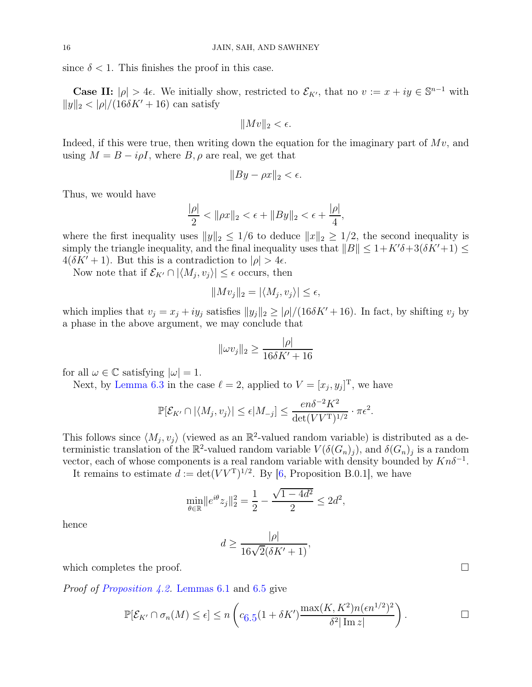since  $\delta < 1$ . This finishes the proof in this case.

Case II:  $|\rho| > 4\epsilon$ . We initially show, restricted to  $\mathcal{E}_{K'}$ , that no  $v := x + iy \in \mathbb{S}^{n-1}$  with  $||y||_2 < |\rho|/(16\delta K' + 16)$  can satisfy

$$
||Mv||_2 < \epsilon.
$$

Indeed, if this were true, then writing down the equation for the imaginary part of  $Mv$ , and using  $M = B - i \rho I$ , where  $B, \rho$  are real, we get that

$$
||By - \rho x||_2 < \epsilon.
$$

Thus, we would have

$$
\frac{|\rho|}{2} < \|\rho x\|_2 < \epsilon + \|By\|_2 < \epsilon + \frac{|\rho|}{4},
$$

where the first inequality uses  $||y||_2 \leq 1/6$  to deduce  $||x||_2 \geq 1/2$ , the second inequality is simply the triangle inequality, and the final inequality uses that  $||B|| \leq 1 + K'\delta + 3(\delta K' + 1) \leq$  $4(\delta K' + 1)$ . But this is a contradiction to  $|\rho| > 4\epsilon$ .

Now note that if  $\mathcal{E}_{K'} \cap |\langle M_j, v_j \rangle| \leq \epsilon$  occurs, then

$$
||Mv_j||_2 = |\langle M_j, v_j \rangle| \le \epsilon,
$$

which implies that  $v_j = x_j + iy_j$  satisfies  $||y_j||_2 \geq |\rho|/(16\delta K' + 16)$ . In fact, by shifting  $v_j$  by a phase in the above argument, we may conclude that

$$
\|\omega v_j\|_2 \ge \frac{|\rho|}{16\delta K' + 16}
$$

for all  $\omega \in \mathbb{C}$  satisfying  $|\omega| = 1$ .

Next, by [Lemma 6.3](#page-13-3) in the case  $\ell = 2$ , applied to  $V = [x_j, y_j]^T$ , we have

$$
\mathbb{P}[\mathcal{E}_{K'} \cap |\langle M_j, v_j \rangle| \le \epsilon |M_{-j}] \le \frac{en\delta^{-2}K^2}{\det(VV^{\mathrm{T}})^{1/2}} \cdot \pi \epsilon^2.
$$

This follows since  $\langle M_j, v_j \rangle$  (viewed as an  $\mathbb{R}^2$ -valued random variable) is distributed as a deterministic translation of the  $\mathbb{R}^2$ -valued random variable  $V(\delta(G_n)_j)$ , and  $\delta(G_n)_j$  is a random vector, each of whose components is a real random variable with density bounded by  $Kn\delta^{-1}$ .

It remains to estimate  $d := det(VV^{T})^{1/2}$ . By [\[6,](#page-18-3) Proposition B.0.1], we have

$$
\min_{\theta \in \mathbb{R}} \|e^{i\theta} z_j\|_2^2 = \frac{1}{2} - \frac{\sqrt{1-4d^2}}{2} \le 2d^2,
$$

hence

$$
d \ge \frac{|\rho|}{16\sqrt{2}(\delta K' + 1)},
$$

which completes the proof.  $\Box$ 

Proof of [Proposition 4.2.](#page-9-2) [Lemmas 6.1](#page-13-1) and [6.5](#page-14-1) give

$$
\mathbb{P}[\mathcal{E}_{K'} \cap \sigma_n(M) \le \epsilon] \le n \left( c_{6.5} (1 + \delta K') \frac{\max(K, K^2) n (\epsilon n^{1/2})^2}{\delta^2 |\operatorname{Im} z|} \right). \qquad \Box
$$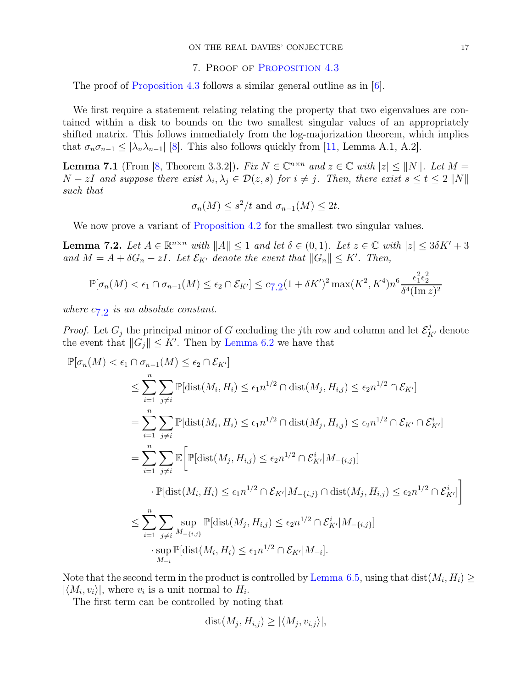#### 7. Proof of [Proposition 4.3](#page-10-1)

<span id="page-16-0"></span>The proof of [Proposition 4.3](#page-10-1) follows a similar general outline as in [\[6\]](#page-18-3).

We first require a statement relating relating the property that two eigenvalues are contained within a disk to bounds on the two smallest singular values of an appropriately shifted matrix. This follows immediately from the log-majorization theorem, which implies that  $\sigma_n \sigma_{n-1} \leq |\lambda_n \lambda_{n-1}|$  [\[8\]](#page-18-12). This also follows quickly from [\[11,](#page-18-13) Lemma A.1, A.2].

<span id="page-16-2"></span>**Lemma 7.1** (From [\[8,](#page-18-12) Theorem 3.3.2]). Fix  $N \in \mathbb{C}^{n \times n}$  and  $z \in \mathbb{C}$  with  $|z| \leq ||N||$ . Let  $M =$  $N-zI$  and suppose there exist  $\lambda_i, \lambda_j \in \mathcal{D}(z,s)$  for  $i \neq j$ . Then, there exist  $s \leq t \leq 2||N||$ such that

$$
\sigma_n(M) \leq s^2/t
$$
 and  $\sigma_{n-1}(M) \leq 2t$ .

<span id="page-16-1"></span>We now prove a variant of [Proposition 4.2](#page-9-2) for the smallest two singular values.

**Lemma 7.2.** Let  $A \in \mathbb{R}^{n \times n}$  with  $||A|| \leq 1$  and let  $\delta \in (0, 1)$ . Let  $z \in \mathbb{C}$  with  $|z| \leq 3\delta K' + 3$ and  $M = A + \delta G_n - zI$ . Let  $\mathcal{E}_{K'}$  denote the event that  $||G_n|| \leq K'$ . Then,

$$
\mathbb{P}[\sigma_n(M) < \epsilon_1 \cap \sigma_{n-1}(M) \le \epsilon_2 \cap \mathcal{E}_{K'}] \le c_{7,2} (1 + \delta K')^2 \max(K^2, K^4) n^6 \frac{\epsilon_1^2 \epsilon_2^2}{\delta^4 (\text{Im } z)^2}
$$

where  $c_{7,2}$  $c_{7,2}$  $c_{7,2}$  is an absolute constant.

*Proof.* Let  $G_j$  the principal minor of G excluding the jth row and column and let  $\mathcal{E}_{K'}^j$  denote the event that  $||G_j|| \leq K'$ . Then by [Lemma 6.2](#page-13-2) we have that

$$
\mathbb{P}[\sigma_n(M) < \epsilon_1 \cap \sigma_{n-1}(M) \leq \epsilon_2 \cap \mathcal{E}_{K'}]
$$
\n
$$
\leq \sum_{i=1}^n \sum_{j \neq i} \mathbb{P}[\text{dist}(M_i, H_i) \leq \epsilon_1 n^{1/2} \cap \text{dist}(M_j, H_{i,j}) \leq \epsilon_2 n^{1/2} \cap \mathcal{E}_{K'}]
$$
\n
$$
= \sum_{i=1}^n \sum_{j \neq i} \mathbb{P}[\text{dist}(M_i, H_i) \leq \epsilon_1 n^{1/2} \cap \text{dist}(M_j, H_{i,j}) \leq \epsilon_2 n^{1/2} \cap \mathcal{E}_{K'} \cap \mathcal{E}_{K'}^i]
$$
\n
$$
= \sum_{i=1}^n \sum_{j \neq i} \mathbb{E} \Big[ \mathbb{P}[\text{dist}(M_j, H_{i,j}) \leq \epsilon_2 n^{1/2} \cap \mathcal{E}_{K'}^i | M_{-\{i,j\}}]
$$
\n
$$
\cdot \mathbb{P}[\text{dist}(M_i, H_i) \leq \epsilon_1 n^{1/2} \cap \mathcal{E}_{K'} | M_{-\{i,j\}} \cap \text{dist}(M_j, H_{i,j}) \leq \epsilon_2 n^{1/2} \cap \mathcal{E}_{K'}^i] \Big]
$$
\n
$$
\leq \sum_{i=1}^n \sum_{j \neq i} \sup_{M_{-\{i,j\}}} \mathbb{P}[\text{dist}(M_j, H_{i,j}) \leq \epsilon_2 n^{1/2} \cap \mathcal{E}_{K'}^i | M_{-\{i,j\}}]
$$
\n
$$
\cdot \sup_{M_{-\{i\}}} \mathbb{P}[\text{dist}(M_i, H_i) \leq \epsilon_1 n^{1/2} \cap \mathcal{E}_{K'} | M_{-\{i,j\}}].
$$

Note that the second term in the product is controlled by [Lemma 6.5,](#page-14-1) using that dist $(M_i, H_i) \ge$  $|\langle M_i, v_i \rangle|$ , where  $v_i$  is a unit normal to  $H_i$ .

The first term can be controlled by noting that

$$
dist(M_j, H_{i,j}) \ge |\langle M_j, v_{i,j} \rangle|,
$$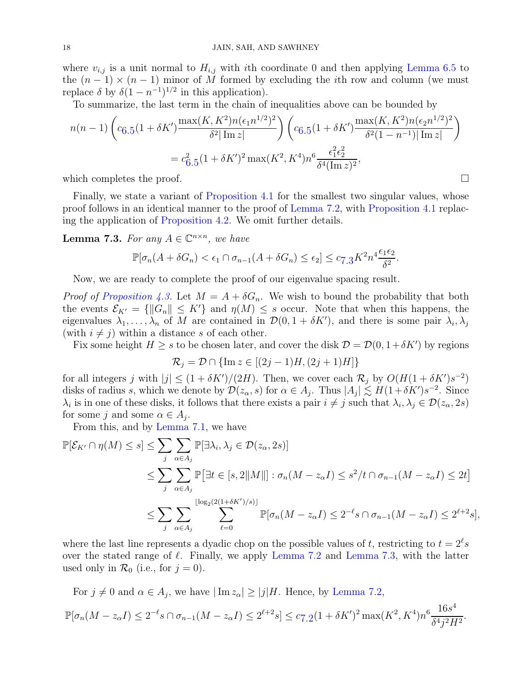where  $v_{i,j}$  is a unit normal to  $H_{i,j}$  with ith coordinate 0 and then applying [Lemma 6.5](#page-14-1) to the  $(n-1) \times (n-1)$  minor of M formed by excluding the *i*th row and column (we must replace  $\delta$  by  $\delta(1-n^{-1})^{1/2}$  in this application).

To summarize, the last term in the chain of inequalities above can be bounded by

$$
n(n-1)\left(c_{6.5}(1+\delta K')\frac{\max(K,K^2)n(\epsilon_1 n^{1/2})^2}{\delta^2|\operatorname{Im} z|}\right)\left(c_{6.5}(1+\delta K')\frac{\max(K,K^2)n(\epsilon_2 n^{1/2})^2}{\delta^2(1-n^{-1})|\operatorname{Im} z|}\right)
$$

$$
=c_{6.5}^2(1+\delta K')^2\max(K^2,K^4)n^6\frac{\epsilon_1^2\epsilon_2^2}{\delta^4(\operatorname{Im} z)^2},
$$

which completes the proof.  $\Box$ 

Finally, we state a variant of [Proposition 4.1](#page-9-3) for the smallest two singular values, whose proof follows in an identical manner to the proof of [Lemma 7.2,](#page-16-1) with [Proposition 4.1](#page-9-3) replacing the application of [Proposition 4.2.](#page-9-2) We omit further details.

<span id="page-17-0"></span>**Lemma 7.3.** For any  $A \in \mathbb{C}^{n \times n}$ , we have

$$
\mathbb{P}[\sigma_n(A+\delta G_n)<\epsilon_1\cap\sigma_{n-1}(A+\delta G_n)<\epsilon_2]\leq c_{7.3}K^2n^4\frac{\epsilon_1\epsilon_2}{\delta^2}.
$$

Now, we are ready to complete the proof of our eigenvalue spacing result.

*Proof of [Proposition 4.3.](#page-10-1)* Let  $M = A + \delta G_n$ . We wish to bound the probability that both the events  $\mathcal{E}_{K'} = \{ \|G_n\| \leq K' \}$  and  $\eta(M) \leq s$  occur. Note that when this happens, the eigenvalues  $\lambda_1, \ldots, \lambda_n$  of M are contained in  $\mathcal{D}(0, 1 + \delta K')$ , and there is some pair  $\lambda_i, \lambda_j$ (with  $i \neq j$ ) within a distance s of each other.

Fix some height  $H \geq s$  to be chosen later, and cover the disk  $\mathcal{D} = \mathcal{D}(0, 1 + \delta K')$  by regions

$$
\mathcal{R}_j = \mathcal{D} \cap \{ \operatorname{Im} z \in [(2j-1)H, (2j+1)H] \}
$$

for all integers j with  $|j| \leq (1 + \delta K')/(2H)$ . Then, we cover each  $\mathcal{R}_j$  by  $O(H(1 + \delta K')s^{-2})$ disks of radius s, which we denote by  $\mathcal{D}(z_\alpha, s)$  for  $\alpha \in A_j$ . Thus  $|A_j| \lesssim H(1+\delta K')s^{-2}$ . Since  $\lambda_i$  is in one of these disks, it follows that there exists a pair  $i \neq j$  such that  $\lambda_i, \lambda_j \in \mathcal{D}(z_\alpha, 2s)$ for some j and some  $\alpha \in A_j$ .

From this, and by [Lemma 7.1,](#page-16-2) we have

$$
\mathbb{P}[\mathcal{E}_{K'} \cap \eta(M) \le s] \le \sum_{j} \sum_{\alpha \in A_j} \mathbb{P}[\exists \lambda_i, \lambda_j \in \mathcal{D}(z_{\alpha}, 2s)]
$$
  
\n
$$
\le \sum_{j} \sum_{\alpha \in A_j} \mathbb{P}[\exists t \in [s, 2 \|M\|] : \sigma_n(M - z_{\alpha}I) \le s^2/t \cap \sigma_{n-1}(M - z_{\alpha}I) \le 2t]
$$
  
\n
$$
\le \sum_{j} \sum_{\alpha \in A_j} \sum_{\ell=0}^{\lfloor \log_2(2(1+\delta K')/s) \rfloor} \mathbb{P}[\sigma_n(M - z_{\alpha}I) \le 2^{-\ell} s \cap \sigma_{n-1}(M - z_{\alpha}I) \le 2^{\ell+2}s],
$$

where the last line represents a dyadic chop on the possible values of t, restricting to  $t = 2^{\ell} s$ over the stated range of  $\ell$ . Finally, we apply [Lemma 7.2](#page-16-1) and [Lemma 7.3,](#page-17-0) with the latter used only in  $\mathcal{R}_0$  (i.e., for  $j = 0$ ).

For  $j \neq 0$  and  $\alpha \in A_j$ , we have  $|\operatorname{Im} z_{\alpha}| \geq |j|H$ . Hence, by [Lemma 7.2,](#page-16-1)

$$
\mathbb{P}[\sigma_n(M - z_\alpha I) \le 2^{-\ell} s \cap \sigma_{n-1}(M - z_\alpha I) \le 2^{\ell+2} s] \le c_{7.2} (1 + \delta K')^2 \max(K^2, K^4) n^6 \frac{16s^4}{\delta^4 j^2 H^2}.
$$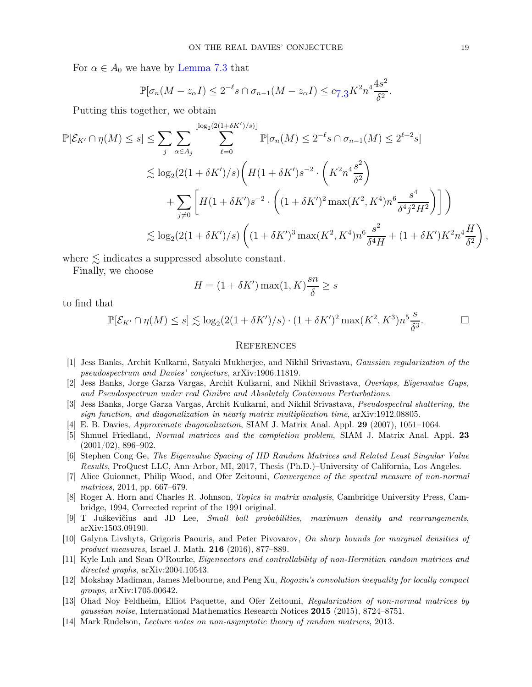For  $\alpha \in A_0$  we have by [Lemma 7.3](#page-17-0) that

$$
\mathbb{P}[\sigma_n(M - z_\alpha I) \le 2^{-\ell} s \cap \sigma_{n-1}(M - z_\alpha I) \le c_{7.3} K^2 n^4 \frac{4s^2}{\delta^2}.
$$

Putting this together, we obtain

$$
\mathbb{P}[\mathcal{E}_{K'} \cap \eta(M) \le s] \le \sum_{j} \sum_{\alpha \in A_j} \sum_{\ell=0}^{\lfloor \log_2(2(1+\delta K')/s) \rfloor} \mathbb{P}[\sigma_n(M) \le 2^{-\ell} s \cap \sigma_{n-1}(M) \le 2^{\ell+2} s]
$$
  
\$\le \log\_2(2(1+\delta K')/s) \left( H(1+\delta K') s^{-2} \cdot \left( K^2 n^4 \frac{s^2}{\delta^2} \right) \right.  
+\sum\_{j \ne 0} \left[ H(1+\delta K') s^{-2} \cdot \left( (1+\delta K')^2 \max(K^2, K^4) n^6 \frac{s^4}{\delta^4 j^2 H^2} \right) \right] \right) \$  
\$\le \log\_2(2(1+\delta K')/s) \left( (1+\delta K')^3 \max(K^2, K^4) n^6 \frac{s^2}{\delta^4 H} + (1+\delta K') K^2 n^4 \frac{H}{\delta^2} \right),\$

where  $\lesssim$  indicates a suppressed absolute constant.

Finally, we choose

$$
H = (1 + \delta K') \max(1, K) \frac{sn}{\delta} \ge s
$$

to find that

$$
\mathbb{P}[\mathcal{E}_{K'} \cap \eta(M) \le s] \lesssim \log_2(2(1 + \delta K')/s) \cdot (1 + \delta K')^2 \max(K^2, K^3) n^5 \frac{s}{\delta^3}.
$$

#### **REFERENCES**

- <span id="page-18-1"></span>[1] Jess Banks, Archit Kulkarni, Satyaki Mukherjee, and Nikhil Srivastava, Gaussian regularization of the pseudospectrum and Davies' conjecture, arXiv:1906.11819.
- <span id="page-18-7"></span><span id="page-18-6"></span>[2] Jess Banks, Jorge Garza Vargas, Archit Kulkarni, and Nikhil Srivastava, Overlaps, Eigenvalue Gaps, and Pseudospectrum under real Ginibre and Absolutely Continuous Perturbations.
- <span id="page-18-0"></span>[3] Jess Banks, Jorge Garza Vargas, Archit Kulkarni, and Nikhil Srivastava, Pseudospectral shattering, the sign function, and diagonalization in nearly matrix multiplication time, arXiv:1912.08805.
- <span id="page-18-2"></span>[4] E. B. Davies, Approximate diagonalization, SIAM J. Matrix Anal. Appl. 29 (2007), 1051–1064.
- [5] Shmuel Friedland, Normal matrices and the completion problem, SIAM J. Matrix Anal. Appl. 23  $(2001/02), 896-902.$
- <span id="page-18-3"></span>[6] Stephen Cong Ge, The Eigenvalue Spacing of IID Random Matrices and Related Least Singular Value Results, ProQuest LLC, Ann Arbor, MI, 2017, Thesis (Ph.D.)–University of California, Los Angeles.
- <span id="page-18-4"></span>[7] Alice Guionnet, Philip Wood, and Ofer Zeitouni, Convergence of the spectral measure of non-normal matrices, 2014, pp. 667–679.
- <span id="page-18-12"></span>[8] Roger A. Horn and Charles R. Johnson, Topics in matrix analysis, Cambridge University Press, Cambridge, 1994, Corrected reprint of the 1991 original.
- <span id="page-18-11"></span><span id="page-18-9"></span>[9] T Juškevičius and JD Lee, Small ball probabilities, maximum density and rearrangements, arXiv:1503.09190.
- [10] Galyna Livshyts, Grigoris Paouris, and Peter Pivovarov, On sharp bounds for marginal densities of product measures, Israel J. Math. 216 (2016), 877–889.
- <span id="page-18-13"></span>[11] Kyle Luh and Sean O'Rourke, Eigenvectors and controllability of non-Hermitian random matrices and directed graphs, arXiv:2004.10543.
- <span id="page-18-8"></span>[12] Mokshay Madiman, James Melbourne, and Peng Xu, Rogozin's convolution inequality for locally compact groups, arXiv:1705.00642.
- <span id="page-18-5"></span>[13] Ohad Noy Feldheim, Elliot Paquette, and Ofer Zeitouni, Regularization of non-normal matrices by gaussian noise, International Mathematics Research Notices 2015 (2015), 8724–8751.
- <span id="page-18-10"></span>[14] Mark Rudelson, Lecture notes on non-asymptotic theory of random matrices, 2013.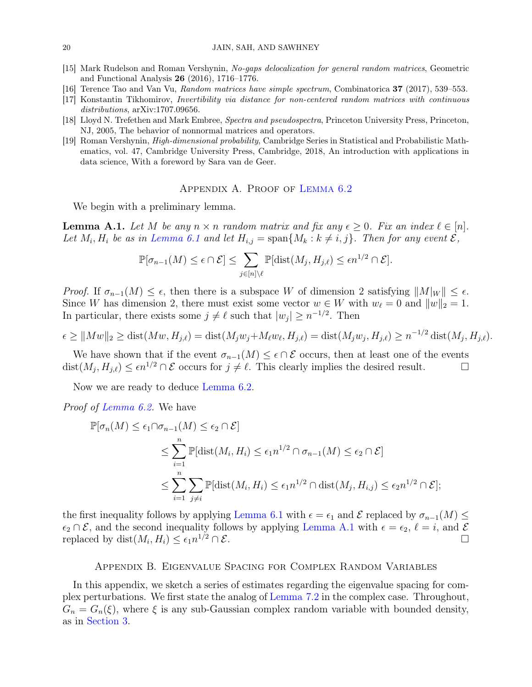- <span id="page-19-1"></span><span id="page-19-0"></span>[15] Mark Rudelson and Roman Vershynin, No-gaps delocalization for general random matrices, Geometric and Functional Analysis 26 (2016), 1716–1776.
- <span id="page-19-6"></span>[16] Terence Tao and Van Vu, Random matrices have simple spectrum, Combinatorica 37 (2017), 539–553.
- <span id="page-19-5"></span>[17] Konstantin Tikhomirov, Invertibility via distance for non-centered random matrices with continuous distributions,  $arXiv:1707.09656$ .
- <span id="page-19-4"></span>[18] Lloyd N. Trefethen and Mark Embree, Spectra and pseudospectra, Princeton University Press, Princeton, NJ, 2005, The behavior of nonnormal matrices and operators.
- [19] Roman Vershynin, High-dimensional probability, Cambridge Series in Statistical and Probabilistic Mathematics, vol. 47, Cambridge University Press, Cambridge, 2018, An introduction with applications in data science, With a foreword by Sara van de Geer.

### Appendix A. Proof of [Lemma 6.2](#page-13-2)

<span id="page-19-7"></span><span id="page-19-3"></span>We begin with a preliminary lemma.

**Lemma A.1.** Let M be any  $n \times n$  random matrix and fix any  $\epsilon \geq 0$ . Fix an index  $\ell \in [n]$ . Let  $M_i$ ,  $H_i$  be as in [Lemma 6.1](#page-13-1) and let  $H_{i,j} = \text{span}\{M_k : k \neq i, j\}$ . Then for any event  $\mathcal{E}$ ,

$$
\mathbb{P}[\sigma_{n-1}(M) \leq \epsilon \cap \mathcal{E}] \leq \sum_{j \in [n] \setminus \ell} \mathbb{P}[\text{dist}(M_j, H_{j,\ell}) \leq \epsilon n^{1/2} \cap \mathcal{E}].
$$

Proof. If  $\sigma_{n-1}(M) \leq \epsilon$ , then there is a subspace W of dimension 2 satisfying  $||M||_W || \leq \epsilon$ . Since W has dimension 2, there must exist some vector  $w \in W$  with  $w_{\ell} = 0$  and  $||w||_2 = 1$ . In particular, there exists some  $j \neq \ell$  such that  $|w_j| \geq n^{-1/2}$ . Then

$$
\epsilon \ge ||Mw||_2 \ge \text{dist}(Mw, H_{j,\ell}) = \text{dist}(M_jw_j + M_\ell w_\ell, H_{j,\ell}) = \text{dist}(M_jw_j, H_{j,\ell}) \ge n^{-1/2} \text{dist}(M_j, H_{j,\ell}).
$$

We have shown that if the event  $\sigma_{n-1}(M) \leq \epsilon \cap \mathcal{E}$  occurs, then at least one of the events  $\text{st}(M_i, H_{i\ell}) \leq \epsilon n^{1/2} \cap \mathcal{E}$  occurs for  $j \neq \ell$ . This clearly implies the desired result. dist $(M_j, H_{j,\ell}) \leq \epsilon n^{1/2} \cap \mathcal{E}$  occurs for  $j \neq \ell$ . This clearly implies the desired result.

Now we are ready to deduce [Lemma 6.2.](#page-13-2)

Proof of [Lemma 6.2.](#page-13-2) We have

$$
\mathbb{P}[\sigma_n(M) \le \epsilon_1 \cap \sigma_{n-1}(M) \le \epsilon_2 \cap \mathcal{E}]
$$
  
\n
$$
\le \sum_{i=1}^n \mathbb{P}[\text{dist}(M_i, H_i) \le \epsilon_1 n^{1/2} \cap \sigma_{n-1}(M) \le \epsilon_2 \cap \mathcal{E}]
$$
  
\n
$$
\le \sum_{i=1}^n \sum_{j \ne i} \mathbb{P}[\text{dist}(M_i, H_i) \le \epsilon_1 n^{1/2} \cap \text{dist}(M_j, H_{i,j}) \le \epsilon_2 n^{1/2} \cap \mathcal{E}];
$$

the first inequality follows by applying [Lemma 6.1](#page-13-1) with  $\epsilon = \epsilon_1$  and  $\mathcal E$  replaced by  $\sigma_{n-1}(M) \leq$  $\epsilon_2 \cap \mathcal{E}$ , and the second inequality follows by applying [Lemma A.1](#page-19-7) with  $\epsilon = \epsilon_2$ ,  $\ell = i$ , and  $\mathcal{E}$ replaced by  $dist(M_i, H_i) \leq \epsilon_1 n^{1/2} \cap \mathcal{E}$ .

#### Appendix B. Eigenvalue Spacing for Complex Random Variables

<span id="page-19-8"></span><span id="page-19-2"></span>In this appendix, we sketch a series of estimates regarding the eigenvalue spacing for complex perturbations. We first state the analog of [Lemma 7.2](#page-16-1) in the complex case. Throughout,  $G_n = G_n(\xi)$ , where  $\xi$  is any sub-Gaussian complex random variable with bounded density, as in [Section 3.](#page-7-1)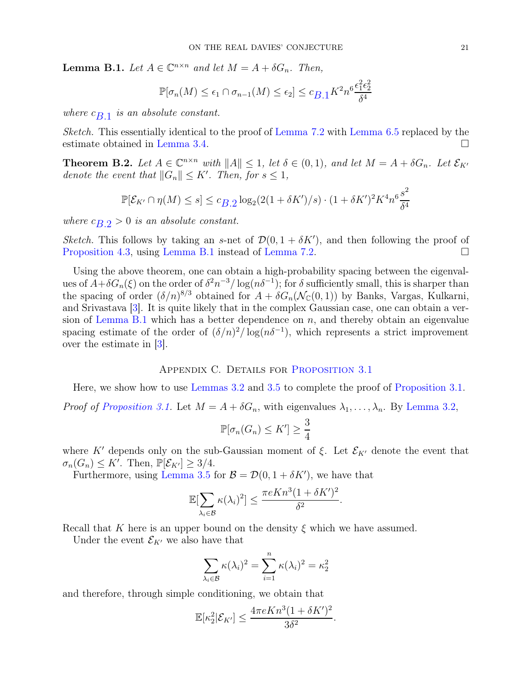**Lemma B.1.** Let  $A \in \mathbb{C}^{n \times n}$  and let  $M = A + \delta G_n$ . Then,

$$
\mathbb{P}[\sigma_n(M) \le \epsilon_1 \cap \sigma_{n-1}(M) \le \epsilon_2] \le c_{B,1} K^2 n^6 \frac{\epsilon_1^2 \epsilon_2^2}{\delta^4}
$$

where  $c_{B,1}$  is an absolute constant.

Sketch. This essentially identical to the proof of [Lemma 7.2](#page-16-1) with [Lemma 6.5](#page-14-1) replaced by the estimate obtained in [Lemma 3.4.](#page-7-3)

<span id="page-20-0"></span>**Theorem B.2.** Let  $A \in \mathbb{C}^{n \times n}$  with  $||A|| \leq 1$ , let  $\delta \in (0, 1)$ , and let  $M = A + \delta G_n$ . Let  $\mathcal{E}_{K'}$ denote the event that  $||G_n|| \leq K'$ . Then, for  $s \leq 1$ ,

$$
\mathbb{P}[\mathcal{E}_{K'} \cap \eta(M) \le s] \le c_{B,2} \log_2(2(1 + \delta K')/s) \cdot (1 + \delta K')^2 K^4 n^6 \frac{s^2}{\delta^4}
$$

where  $c_B$   $\geq$  0 is an absolute constant.

Sketch. This follows by taking an s-net of  $\mathcal{D}(0, 1 + \delta K')$ , and then following the proof of [Proposition 4.3,](#page-10-1) using [Lemma B.1](#page-19-8) instead of [Lemma 7.2.](#page-16-1)

Using the above theorem, one can obtain a high-probability spacing between the eigenvalues of  $A+\delta G_n(\xi)$  on the order of  $\delta^2 n^{-3}/\log(n\delta^{-1})$ ; for  $\delta$  sufficiently small, this is sharper than the spacing of order  $(\delta/n)^{8/3}$  obtained for  $A + \delta G_n(\mathcal{N}_\mathbb{C}(0,1))$  by Banks, Vargas, Kulkarni, and Srivastava [\[3\]](#page-18-6). It is quite likely that in the complex Gaussian case, one can obtain a ver-sion of [Lemma B.1](#page-19-8) which has a better dependence on  $n$ , and thereby obtain an eigenvalue spacing estimate of the order of  $(\delta/n)^2/\log(n\delta^{-1})$ , which represents a strict improvement over the estimate in [\[3\]](#page-18-6).

### Appendix C. Details for [Proposition 3.1](#page-7-0)

<span id="page-20-1"></span>Here, we show how to use [Lemmas 3.2](#page-7-2) and [3.5](#page-8-0) to complete the proof of [Proposition 3.1.](#page-7-0)

*Proof of [Proposition 3.1.](#page-7-0)* Let  $M = A + \delta G_n$ , with eigenvalues  $\lambda_1, \ldots, \lambda_n$ . By [Lemma 3.2,](#page-7-2)

$$
\mathbb{P}[\sigma_n(G_n)\leq K']\geq \frac{3}{4}
$$

where K' depends only on the sub-Gaussian moment of  $\xi$ . Let  $\mathcal{E}_{K'}$  denote the event that  $\sigma_n(G_n) \leq K'$ . Then,  $\mathbb{P}[\mathcal{E}_{K'}] \geq 3/4$ .

Furthermore, using [Lemma 3.5](#page-8-0) for  $\mathcal{B} = \mathcal{D}(0, 1 + \delta K')$ , we have that

$$
\mathbb{E}[\sum_{\lambda_i \in \mathcal{B}} \kappa(\lambda_i)^2] \le \frac{\pi e K n^3 (1 + \delta K')^2}{\delta^2}.
$$

Recall that K here is an upper bound on the density  $\xi$  which we have assumed.

Under the event  $\mathcal{E}_{K'}$  we also have that

$$
\sum_{\lambda_i \in \mathcal{B}} \kappa(\lambda_i)^2 = \sum_{i=1}^n \kappa(\lambda_i)^2 = \kappa_2^2
$$

and therefore, through simple conditioning, we obtain that

$$
\mathbb{E}[\kappa_2^2|\mathcal{E}_{K'}] \le \frac{4\pi eKn^3(1+\delta K')^2}{3\delta^2}.
$$